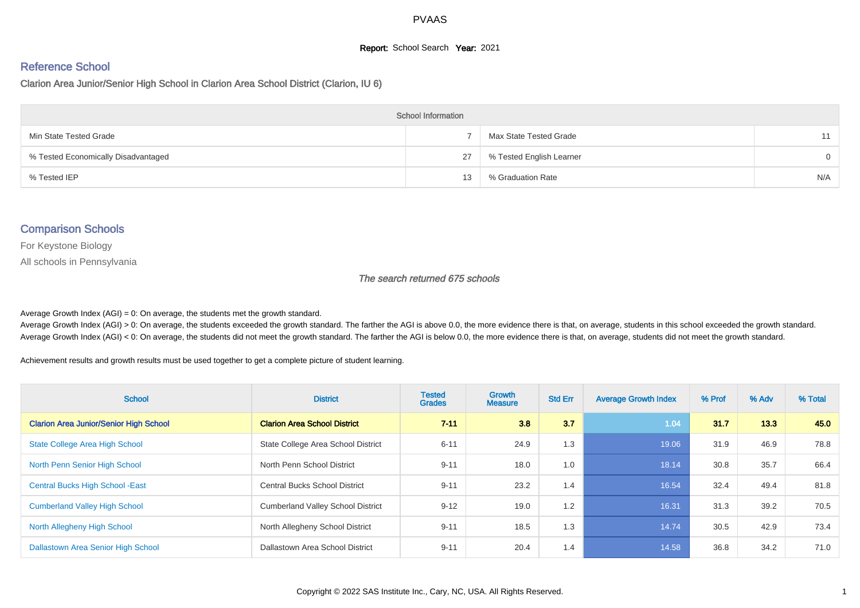#### **Report:** School Search **Year:** 2021

# Reference School

Clarion Area Junior/Senior High School in Clarion Area School District (Clarion, IU 6)

| <b>School Information</b>           |    |                          |          |  |  |  |  |  |
|-------------------------------------|----|--------------------------|----------|--|--|--|--|--|
| Min State Tested Grade              |    | Max State Tested Grade   | 11       |  |  |  |  |  |
| % Tested Economically Disadvantaged | 27 | % Tested English Learner | $\Omega$ |  |  |  |  |  |
| % Tested IEP                        | 13 | % Graduation Rate        | N/A      |  |  |  |  |  |

## Comparison Schools

For Keystone Biology

All schools in Pennsylvania

#### The search returned 675 schools

Average Growth Index  $(AGI) = 0$ : On average, the students met the growth standard.

Average Growth Index (AGI) > 0: On average, the students exceeded the growth standard. The farther the AGI is above 0.0, the more evidence there is that, on average, students in this school exceeded the growth standard. Average Growth Index (AGI) < 0: On average, the students did not meet the growth standard. The farther the AGI is below 0.0, the more evidence there is that, on average, students did not meet the growth standard.

Achievement results and growth results must be used together to get a complete picture of student learning.

| <b>School</b>                                 | <b>District</b>                          | <b>Tested</b><br><b>Grades</b> | <b>Growth</b><br><b>Measure</b> | <b>Std Err</b> | <b>Average Growth Index</b> | % Prof | % Adv | % Total |
|-----------------------------------------------|------------------------------------------|--------------------------------|---------------------------------|----------------|-----------------------------|--------|-------|---------|
| <b>Clarion Area Junior/Senior High School</b> | <b>Clarion Area School District</b>      | $7 - 11$                       | 3.8                             | 3.7            | 1.04                        | 31.7   | 13.3  | 45.0    |
| <b>State College Area High School</b>         | State College Area School District       | $6 - 11$                       | 24.9                            | 1.3            | 19.06                       | 31.9   | 46.9  | 78.8    |
| North Penn Senior High School                 | North Penn School District               | $9 - 11$                       | 18.0                            | 1.0            | 18.14                       | 30.8   | 35.7  | 66.4    |
| <b>Central Bucks High School - East</b>       | <b>Central Bucks School District</b>     | $9 - 11$                       | 23.2                            | 1.4            | 16.54                       | 32.4   | 49.4  | 81.8    |
| <b>Cumberland Valley High School</b>          | <b>Cumberland Valley School District</b> | $9 - 12$                       | 19.0                            | 1.2            | 16.31                       | 31.3   | 39.2  | 70.5    |
| North Allegheny High School                   | North Allegheny School District          | $9 - 11$                       | 18.5                            | 1.3            | 14.74                       | 30.5   | 42.9  | 73.4    |
| Dallastown Area Senior High School            | Dallastown Area School District          | $9 - 11$                       | 20.4                            | 1.4            | 14.58                       | 36.8   | 34.2  | 71.0    |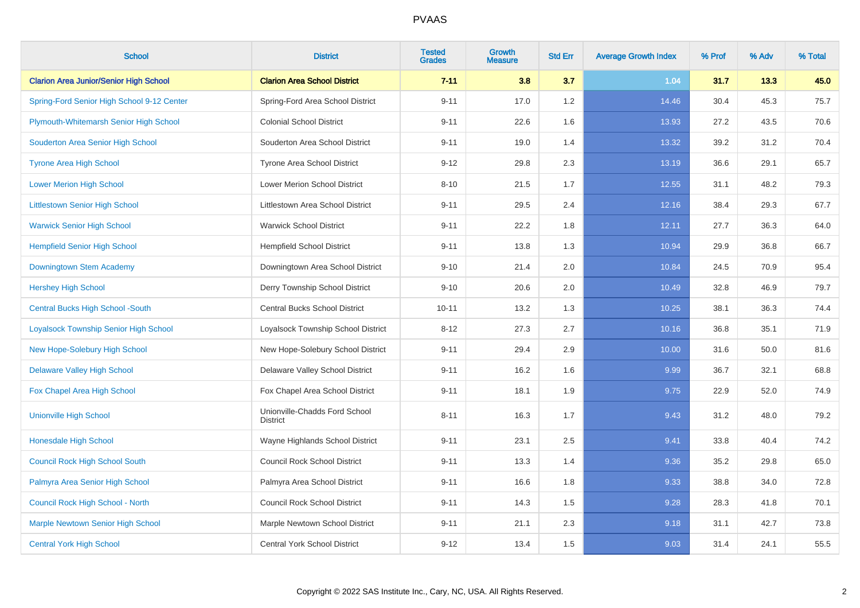| <b>School</b>                                 | <b>District</b>                                  | <b>Tested</b><br><b>Grades</b> | Growth<br><b>Measure</b> | <b>Std Err</b> | <b>Average Growth Index</b> | % Prof | % Adv | % Total |
|-----------------------------------------------|--------------------------------------------------|--------------------------------|--------------------------|----------------|-----------------------------|--------|-------|---------|
| <b>Clarion Area Junior/Senior High School</b> | <b>Clarion Area School District</b>              | $7 - 11$                       | 3.8                      | 3.7            | 1.04                        | 31.7   | 13.3  | 45.0    |
| Spring-Ford Senior High School 9-12 Center    | Spring-Ford Area School District                 | $9 - 11$                       | 17.0                     | 1.2            | 14.46                       | 30.4   | 45.3  | 75.7    |
| Plymouth-Whitemarsh Senior High School        | <b>Colonial School District</b>                  | $9 - 11$                       | 22.6                     | 1.6            | 13.93                       | 27.2   | 43.5  | 70.6    |
| Souderton Area Senior High School             | Souderton Area School District                   | $9 - 11$                       | 19.0                     | 1.4            | 13.32                       | 39.2   | 31.2  | 70.4    |
| <b>Tyrone Area High School</b>                | <b>Tyrone Area School District</b>               | $9 - 12$                       | 29.8                     | 2.3            | 13.19                       | 36.6   | 29.1  | 65.7    |
| <b>Lower Merion High School</b>               | <b>Lower Merion School District</b>              | $8 - 10$                       | 21.5                     | 1.7            | 12.55                       | 31.1   | 48.2  | 79.3    |
| <b>Littlestown Senior High School</b>         | Littlestown Area School District                 | $9 - 11$                       | 29.5                     | 2.4            | 12.16                       | 38.4   | 29.3  | 67.7    |
| <b>Warwick Senior High School</b>             | <b>Warwick School District</b>                   | $9 - 11$                       | 22.2                     | 1.8            | 12.11                       | 27.7   | 36.3  | 64.0    |
| <b>Hempfield Senior High School</b>           | <b>Hempfield School District</b>                 | $9 - 11$                       | 13.8                     | 1.3            | 10.94                       | 29.9   | 36.8  | 66.7    |
| Downingtown Stem Academy                      | Downingtown Area School District                 | $9 - 10$                       | 21.4                     | 2.0            | 10.84                       | 24.5   | 70.9  | 95.4    |
| <b>Hershey High School</b>                    | Derry Township School District                   | $9 - 10$                       | 20.6                     | 2.0            | 10.49                       | 32.8   | 46.9  | 79.7    |
| <b>Central Bucks High School -South</b>       | <b>Central Bucks School District</b>             | $10 - 11$                      | 13.2                     | 1.3            | 10.25                       | 38.1   | 36.3  | 74.4    |
| Loyalsock Township Senior High School         | Loyalsock Township School District               | $8 - 12$                       | 27.3                     | 2.7            | 10.16                       | 36.8   | 35.1  | 71.9    |
| New Hope-Solebury High School                 | New Hope-Solebury School District                | $9 - 11$                       | 29.4                     | 2.9            | 10.00                       | 31.6   | 50.0  | 81.6    |
| <b>Delaware Valley High School</b>            | Delaware Valley School District                  | $9 - 11$                       | 16.2                     | 1.6            | 9.99                        | 36.7   | 32.1  | 68.8    |
| Fox Chapel Area High School                   | Fox Chapel Area School District                  | $9 - 11$                       | 18.1                     | 1.9            | 9.75                        | 22.9   | 52.0  | 74.9    |
| <b>Unionville High School</b>                 | Unionville-Chadds Ford School<br><b>District</b> | $8 - 11$                       | 16.3                     | 1.7            | 9.43                        | 31.2   | 48.0  | 79.2    |
| <b>Honesdale High School</b>                  | Wayne Highlands School District                  | $9 - 11$                       | 23.1                     | 2.5            | 9.41                        | 33.8   | 40.4  | 74.2    |
| <b>Council Rock High School South</b>         | <b>Council Rock School District</b>              | $9 - 11$                       | 13.3                     | 1.4            | 9.36                        | 35.2   | 29.8  | 65.0    |
| Palmyra Area Senior High School               | Palmyra Area School District                     | $9 - 11$                       | 16.6                     | 1.8            | 9.33                        | 38.8   | 34.0  | 72.8    |
| <b>Council Rock High School - North</b>       | <b>Council Rock School District</b>              | $9 - 11$                       | 14.3                     | 1.5            | 9.28                        | 28.3   | 41.8  | 70.1    |
| Marple Newtown Senior High School             | Marple Newtown School District                   | $9 - 11$                       | 21.1                     | 2.3            | 9.18                        | 31.1   | 42.7  | 73.8    |
| <b>Central York High School</b>               | <b>Central York School District</b>              | $9 - 12$                       | 13.4                     | 1.5            | 9.03                        | 31.4   | 24.1  | 55.5    |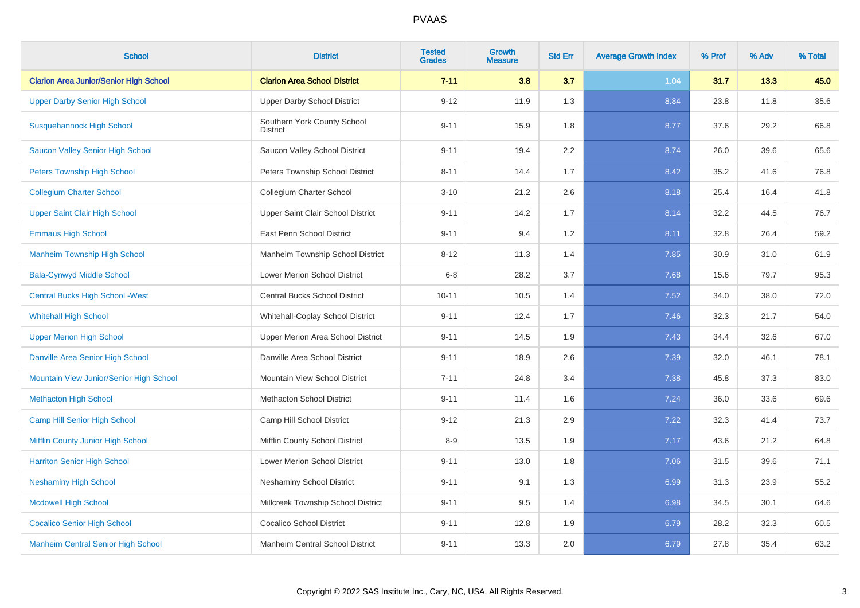| <b>School</b>                                 | <b>District</b>                         | <b>Tested</b><br><b>Grades</b> | <b>Growth</b><br><b>Measure</b> | <b>Std Err</b> | <b>Average Growth Index</b> | % Prof | % Adv | % Total |
|-----------------------------------------------|-----------------------------------------|--------------------------------|---------------------------------|----------------|-----------------------------|--------|-------|---------|
| <b>Clarion Area Junior/Senior High School</b> | <b>Clarion Area School District</b>     | $7 - 11$                       | 3.8                             | 3.7            | 1.04                        | 31.7   | 13.3  | 45.0    |
| <b>Upper Darby Senior High School</b>         | <b>Upper Darby School District</b>      | $9 - 12$                       | 11.9                            | 1.3            | 8.84                        | 23.8   | 11.8  | 35.6    |
| <b>Susquehannock High School</b>              | Southern York County School<br>District | $9 - 11$                       | 15.9                            | 1.8            | 8.77                        | 37.6   | 29.2  | 66.8    |
| <b>Saucon Valley Senior High School</b>       | Saucon Valley School District           | $9 - 11$                       | 19.4                            | 2.2            | 8.74                        | 26.0   | 39.6  | 65.6    |
| <b>Peters Township High School</b>            | Peters Township School District         | $8 - 11$                       | 14.4                            | 1.7            | 8.42                        | 35.2   | 41.6  | 76.8    |
| <b>Collegium Charter School</b>               | Collegium Charter School                | $3 - 10$                       | 21.2                            | 2.6            | 8.18                        | 25.4   | 16.4  | 41.8    |
| <b>Upper Saint Clair High School</b>          | Upper Saint Clair School District       | $9 - 11$                       | 14.2                            | 1.7            | 8.14                        | 32.2   | 44.5  | 76.7    |
| <b>Emmaus High School</b>                     | East Penn School District               | $9 - 11$                       | 9.4                             | 1.2            | 8.11                        | 32.8   | 26.4  | 59.2    |
| <b>Manheim Township High School</b>           | Manheim Township School District        | $8 - 12$                       | 11.3                            | 1.4            | 7.85                        | 30.9   | 31.0  | 61.9    |
| <b>Bala-Cynwyd Middle School</b>              | Lower Merion School District            | $6 - 8$                        | 28.2                            | 3.7            | 7.68                        | 15.6   | 79.7  | 95.3    |
| <b>Central Bucks High School - West</b>       | Central Bucks School District           | $10 - 11$                      | 10.5                            | 1.4            | 7.52                        | 34.0   | 38.0  | 72.0    |
| <b>Whitehall High School</b>                  | Whitehall-Coplay School District        | $9 - 11$                       | 12.4                            | 1.7            | 7.46                        | 32.3   | 21.7  | 54.0    |
| <b>Upper Merion High School</b>               | Upper Merion Area School District       | $9 - 11$                       | 14.5                            | 1.9            | 7.43                        | 34.4   | 32.6  | 67.0    |
| Danville Area Senior High School              | Danville Area School District           | $9 - 11$                       | 18.9                            | 2.6            | 7.39                        | 32.0   | 46.1  | 78.1    |
| Mountain View Junior/Senior High School       | Mountain View School District           | $7 - 11$                       | 24.8                            | 3.4            | 7.38                        | 45.8   | 37.3  | 83.0    |
| <b>Methacton High School</b>                  | <b>Methacton School District</b>        | $9 - 11$                       | 11.4                            | 1.6            | 7.24                        | 36.0   | 33.6  | 69.6    |
| Camp Hill Senior High School                  | Camp Hill School District               | $9 - 12$                       | 21.3                            | 2.9            | 7.22                        | 32.3   | 41.4  | 73.7    |
| Mifflin County Junior High School             | Mifflin County School District          | $8 - 9$                        | 13.5                            | 1.9            | 7.17                        | 43.6   | 21.2  | 64.8    |
| <b>Harriton Senior High School</b>            | Lower Merion School District            | $9 - 11$                       | 13.0                            | 1.8            | 7.06                        | 31.5   | 39.6  | 71.1    |
| <b>Neshaminy High School</b>                  | <b>Neshaminy School District</b>        | $9 - 11$                       | 9.1                             | 1.3            | 6.99                        | 31.3   | 23.9  | 55.2    |
| <b>Mcdowell High School</b>                   | Millcreek Township School District      | $9 - 11$                       | 9.5                             | 1.4            | 6.98                        | 34.5   | 30.1  | 64.6    |
| <b>Cocalico Senior High School</b>            | <b>Cocalico School District</b>         | $9 - 11$                       | 12.8                            | 1.9            | 6.79                        | 28.2   | 32.3  | 60.5    |
| <b>Manheim Central Senior High School</b>     | Manheim Central School District         | $9 - 11$                       | 13.3                            | 2.0            | 6.79                        | 27.8   | 35.4  | 63.2    |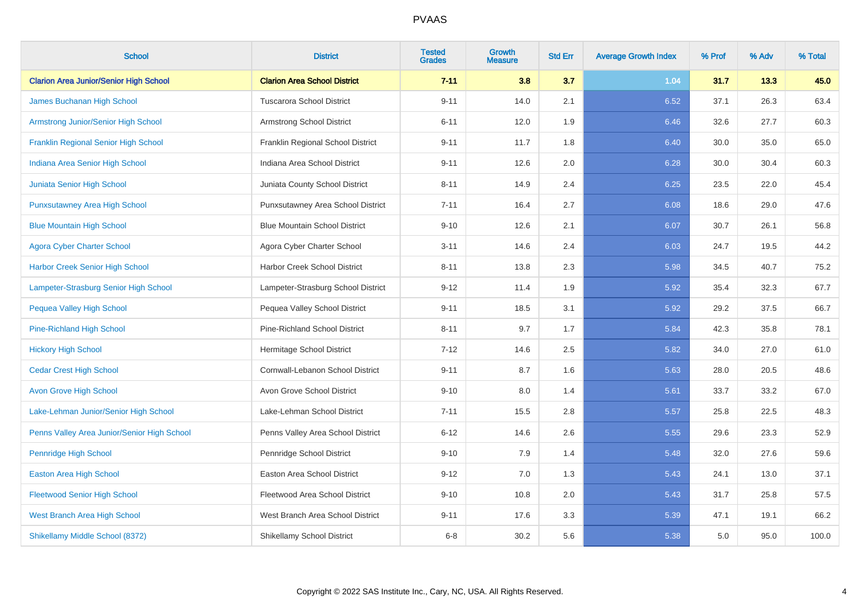| <b>School</b>                                 | <b>District</b>                      | <b>Tested</b><br><b>Grades</b> | <b>Growth</b><br><b>Measure</b> | <b>Std Err</b> | <b>Average Growth Index</b> | % Prof | % Adv | % Total |
|-----------------------------------------------|--------------------------------------|--------------------------------|---------------------------------|----------------|-----------------------------|--------|-------|---------|
| <b>Clarion Area Junior/Senior High School</b> | <b>Clarion Area School District</b>  | $7 - 11$                       | 3.8                             | 3.7            | 1.04                        | 31.7   | 13.3  | 45.0    |
| James Buchanan High School                    | <b>Tuscarora School District</b>     | $9 - 11$                       | 14.0                            | 2.1            | 6.52                        | 37.1   | 26.3  | 63.4    |
| <b>Armstrong Junior/Senior High School</b>    | Armstrong School District            | $6 - 11$                       | 12.0                            | 1.9            | 6.46                        | 32.6   | 27.7  | 60.3    |
| <b>Franklin Regional Senior High School</b>   | Franklin Regional School District    | $9 - 11$                       | 11.7                            | 1.8            | 6.40                        | 30.0   | 35.0  | 65.0    |
| Indiana Area Senior High School               | Indiana Area School District         | $9 - 11$                       | 12.6                            | 2.0            | 6.28                        | 30.0   | 30.4  | 60.3    |
| Juniata Senior High School                    | Juniata County School District       | $8 - 11$                       | 14.9                            | 2.4            | 6.25                        | 23.5   | 22.0  | 45.4    |
| <b>Punxsutawney Area High School</b>          | Punxsutawney Area School District    | $7 - 11$                       | 16.4                            | 2.7            | 6.08                        | 18.6   | 29.0  | 47.6    |
| <b>Blue Mountain High School</b>              | <b>Blue Mountain School District</b> | $9 - 10$                       | 12.6                            | 2.1            | 6.07                        | 30.7   | 26.1  | 56.8    |
| <b>Agora Cyber Charter School</b>             | Agora Cyber Charter School           | $3 - 11$                       | 14.6                            | 2.4            | 6.03                        | 24.7   | 19.5  | 44.2    |
| <b>Harbor Creek Senior High School</b>        | Harbor Creek School District         | $8 - 11$                       | 13.8                            | $2.3\,$        | 5.98                        | 34.5   | 40.7  | 75.2    |
| Lampeter-Strasburg Senior High School         | Lampeter-Strasburg School District   | $9 - 12$                       | 11.4                            | 1.9            | 5.92                        | 35.4   | 32.3  | 67.7    |
| <b>Pequea Valley High School</b>              | Pequea Valley School District        | $9 - 11$                       | 18.5                            | 3.1            | 5.92                        | 29.2   | 37.5  | 66.7    |
| <b>Pine-Richland High School</b>              | Pine-Richland School District        | $8 - 11$                       | 9.7                             | 1.7            | 5.84                        | 42.3   | 35.8  | 78.1    |
| <b>Hickory High School</b>                    | Hermitage School District            | $7 - 12$                       | 14.6                            | 2.5            | 5.82                        | 34.0   | 27.0  | 61.0    |
| <b>Cedar Crest High School</b>                | Cornwall-Lebanon School District     | $9 - 11$                       | 8.7                             | 1.6            | 5.63                        | 28.0   | 20.5  | 48.6    |
| <b>Avon Grove High School</b>                 | Avon Grove School District           | $9 - 10$                       | 8.0                             | 1.4            | 5.61                        | 33.7   | 33.2  | 67.0    |
| Lake-Lehman Junior/Senior High School         | Lake-Lehman School District          | $7 - 11$                       | 15.5                            | 2.8            | 5.57                        | 25.8   | 22.5  | 48.3    |
| Penns Valley Area Junior/Senior High School   | Penns Valley Area School District    | $6 - 12$                       | 14.6                            | 2.6            | 5.55                        | 29.6   | 23.3  | 52.9    |
| <b>Pennridge High School</b>                  | Pennridge School District            | $9 - 10$                       | 7.9                             | 1.4            | 5.48                        | 32.0   | 27.6  | 59.6    |
| Easton Area High School                       | Easton Area School District          | $9 - 12$                       | 7.0                             | 1.3            | 5.43                        | 24.1   | 13.0  | 37.1    |
| <b>Fleetwood Senior High School</b>           | Fleetwood Area School District       | $9 - 10$                       | 10.8                            | 2.0            | 5.43                        | 31.7   | 25.8  | 57.5    |
| <b>West Branch Area High School</b>           | West Branch Area School District     | $9 - 11$                       | 17.6                            | 3.3            | 5.39                        | 47.1   | 19.1  | 66.2    |
| Shikellamy Middle School (8372)               | <b>Shikellamy School District</b>    | $6 - 8$                        | 30.2                            | 5.6            | 5.38                        | 5.0    | 95.0  | 100.0   |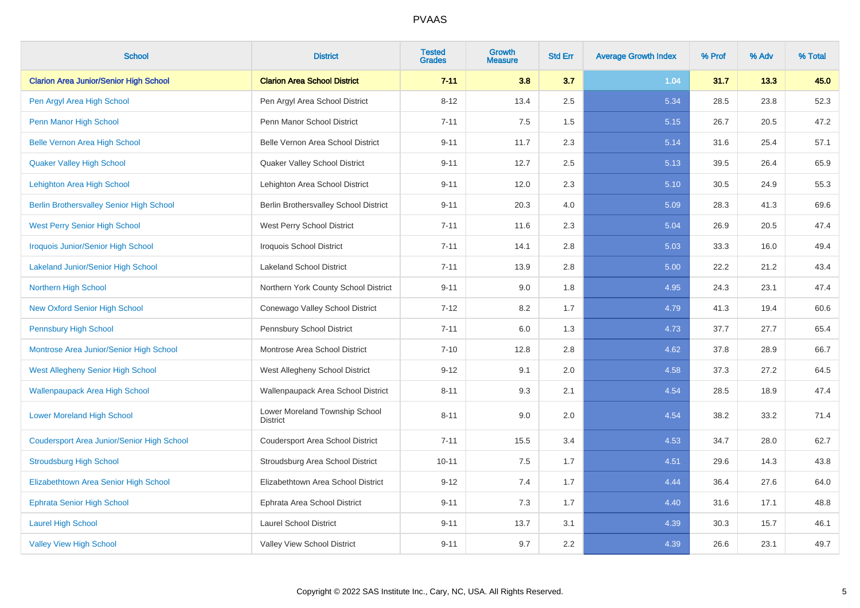| <b>School</b>                                     | <b>District</b>                                   | <b>Tested</b><br><b>Grades</b> | <b>Growth</b><br><b>Measure</b> | <b>Std Err</b> | <b>Average Growth Index</b> | % Prof | % Adv | % Total |
|---------------------------------------------------|---------------------------------------------------|--------------------------------|---------------------------------|----------------|-----------------------------|--------|-------|---------|
| <b>Clarion Area Junior/Senior High School</b>     | <b>Clarion Area School District</b>               | $7 - 11$                       | 3.8                             | 3.7            | 1.04                        | 31.7   | 13.3  | 45.0    |
| Pen Argyl Area High School                        | Pen Argyl Area School District                    | $8 - 12$                       | 13.4                            | 2.5            | 5.34                        | 28.5   | 23.8  | 52.3    |
| Penn Manor High School                            | Penn Manor School District                        | $7 - 11$                       | 7.5                             | 1.5            | 5.15                        | 26.7   | 20.5  | 47.2    |
| <b>Belle Vernon Area High School</b>              | Belle Vernon Area School District                 | $9 - 11$                       | 11.7                            | 2.3            | 5.14                        | 31.6   | 25.4  | 57.1    |
| <b>Quaker Valley High School</b>                  | Quaker Valley School District                     | $9 - 11$                       | 12.7                            | 2.5            | 5.13                        | 39.5   | 26.4  | 65.9    |
| Lehighton Area High School                        | Lehighton Area School District                    | $9 - 11$                       | 12.0                            | 2.3            | 5.10                        | 30.5   | 24.9  | 55.3    |
| <b>Berlin Brothersvalley Senior High School</b>   | Berlin Brothersvalley School District             | $9 - 11$                       | 20.3                            | 4.0            | 5.09                        | 28.3   | 41.3  | 69.6    |
| <b>West Perry Senior High School</b>              | West Perry School District                        | $7 - 11$                       | 11.6                            | 2.3            | 5.04                        | 26.9   | 20.5  | 47.4    |
| <b>Iroquois Junior/Senior High School</b>         | <b>Iroquois School District</b>                   | $7 - 11$                       | 14.1                            | 2.8            | 5.03                        | 33.3   | 16.0  | 49.4    |
| <b>Lakeland Junior/Senior High School</b>         | <b>Lakeland School District</b>                   | $7 - 11$                       | 13.9                            | 2.8            | 5.00                        | 22.2   | 21.2  | 43.4    |
| Northern High School                              | Northern York County School District              | $9 - 11$                       | 9.0                             | 1.8            | 4.95                        | 24.3   | 23.1  | 47.4    |
| <b>New Oxford Senior High School</b>              | Conewago Valley School District                   | $7 - 12$                       | 8.2                             | 1.7            | 4.79                        | 41.3   | 19.4  | 60.6    |
| <b>Pennsbury High School</b>                      | Pennsbury School District                         | $7 - 11$                       | 6.0                             | 1.3            | 4.73                        | 37.7   | 27.7  | 65.4    |
| Montrose Area Junior/Senior High School           | Montrose Area School District                     | $7 - 10$                       | 12.8                            | 2.8            | 4.62                        | 37.8   | 28.9  | 66.7    |
| West Allegheny Senior High School                 | West Allegheny School District                    | $9 - 12$                       | 9.1                             | 2.0            | 4.58                        | 37.3   | 27.2  | 64.5    |
| <b>Wallenpaupack Area High School</b>             | Wallenpaupack Area School District                | $8 - 11$                       | 9.3                             | 2.1            | 4.54                        | 28.5   | 18.9  | 47.4    |
| <b>Lower Moreland High School</b>                 | Lower Moreland Township School<br><b>District</b> | $8 - 11$                       | 9.0                             | 2.0            | 4.54                        | 38.2   | 33.2  | 71.4    |
| <b>Coudersport Area Junior/Senior High School</b> | Coudersport Area School District                  | $7 - 11$                       | 15.5                            | 3.4            | 4.53                        | 34.7   | 28.0  | 62.7    |
| <b>Stroudsburg High School</b>                    | Stroudsburg Area School District                  | $10 - 11$                      | 7.5                             | 1.7            | 4.51                        | 29.6   | 14.3  | 43.8    |
| Elizabethtown Area Senior High School             | Elizabethtown Area School District                | $9 - 12$                       | 7.4                             | 1.7            | 4.44                        | 36.4   | 27.6  | 64.0    |
| <b>Ephrata Senior High School</b>                 | Ephrata Area School District                      | $9 - 11$                       | 7.3                             | 1.7            | 4.40                        | 31.6   | 17.1  | 48.8    |
| <b>Laurel High School</b>                         | <b>Laurel School District</b>                     | $9 - 11$                       | 13.7                            | 3.1            | 4.39                        | 30.3   | 15.7  | 46.1    |
| <b>Valley View High School</b>                    | Valley View School District                       | $9 - 11$                       | 9.7                             | 2.2            | 4.39                        | 26.6   | 23.1  | 49.7    |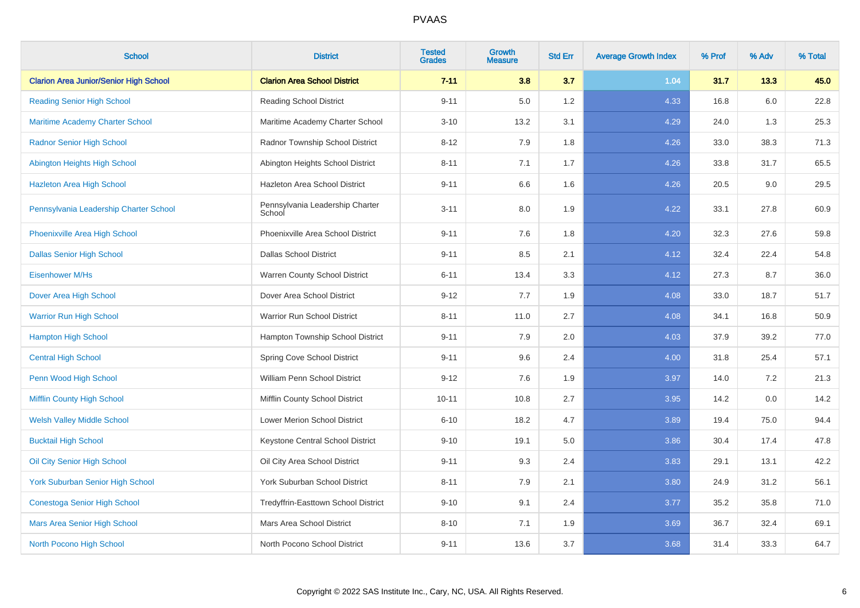| <b>School</b>                                 | <b>District</b>                           | <b>Tested</b><br><b>Grades</b> | <b>Growth</b><br><b>Measure</b> | <b>Std Err</b> | <b>Average Growth Index</b> | % Prof | % Adv | % Total |
|-----------------------------------------------|-------------------------------------------|--------------------------------|---------------------------------|----------------|-----------------------------|--------|-------|---------|
| <b>Clarion Area Junior/Senior High School</b> | <b>Clarion Area School District</b>       | $7 - 11$                       | 3.8                             | 3.7            | 1.04                        | 31.7   | 13.3  | 45.0    |
| <b>Reading Senior High School</b>             | <b>Reading School District</b>            | $9 - 11$                       | 5.0                             | 1.2            | 4.33                        | 16.8   | 6.0   | 22.8    |
| <b>Maritime Academy Charter School</b>        | Maritime Academy Charter School           | $3 - 10$                       | 13.2                            | 3.1            | 4.29                        | 24.0   | 1.3   | 25.3    |
| <b>Radnor Senior High School</b>              | Radnor Township School District           | $8 - 12$                       | 7.9                             | 1.8            | 4.26                        | 33.0   | 38.3  | 71.3    |
| Abington Heights High School                  | Abington Heights School District          | $8 - 11$                       | 7.1                             | 1.7            | 4.26                        | 33.8   | 31.7  | 65.5    |
| <b>Hazleton Area High School</b>              | Hazleton Area School District             | $9 - 11$                       | 6.6                             | 1.6            | 4.26                        | 20.5   | 9.0   | 29.5    |
| Pennsylvania Leadership Charter School        | Pennsylvania Leadership Charter<br>School | $3 - 11$                       | 8.0                             | 1.9            | 4.22                        | 33.1   | 27.8  | 60.9    |
| Phoenixville Area High School                 | Phoenixville Area School District         | $9 - 11$                       | 7.6                             | 1.8            | 4.20                        | 32.3   | 27.6  | 59.8    |
| <b>Dallas Senior High School</b>              | <b>Dallas School District</b>             | $9 - 11$                       | 8.5                             | 2.1            | 4.12                        | 32.4   | 22.4  | 54.8    |
| <b>Eisenhower M/Hs</b>                        | Warren County School District             | $6 - 11$                       | 13.4                            | 3.3            | 4.12                        | 27.3   | 8.7   | 36.0    |
| Dover Area High School                        | Dover Area School District                | $9 - 12$                       | 7.7                             | 1.9            | 4.08                        | 33.0   | 18.7  | 51.7    |
| <b>Warrior Run High School</b>                | Warrior Run School District               | $8 - 11$                       | 11.0                            | 2.7            | 4.08                        | 34.1   | 16.8  | 50.9    |
| <b>Hampton High School</b>                    | Hampton Township School District          | $9 - 11$                       | 7.9                             | 2.0            | 4.03                        | 37.9   | 39.2  | 77.0    |
| <b>Central High School</b>                    | Spring Cove School District               | $9 - 11$                       | 9.6                             | 2.4            | 4.00                        | 31.8   | 25.4  | 57.1    |
| Penn Wood High School                         | William Penn School District              | $9 - 12$                       | 7.6                             | 1.9            | 3.97                        | 14.0   | 7.2   | 21.3    |
| <b>Mifflin County High School</b>             | Mifflin County School District            | $10 - 11$                      | 10.8                            | 2.7            | 3.95                        | 14.2   | 0.0   | 14.2    |
| <b>Welsh Valley Middle School</b>             | Lower Merion School District              | $6 - 10$                       | 18.2                            | 4.7            | 3.89                        | 19.4   | 75.0  | 94.4    |
| <b>Bucktail High School</b>                   | Keystone Central School District          | $9 - 10$                       | 19.1                            | $5.0\,$        | 3.86                        | 30.4   | 17.4  | 47.8    |
| Oil City Senior High School                   | Oil City Area School District             | $9 - 11$                       | 9.3                             | 2.4            | 3.83                        | 29.1   | 13.1  | 42.2    |
| <b>York Suburban Senior High School</b>       | York Suburban School District             | $8 - 11$                       | 7.9                             | 2.1            | 3.80                        | 24.9   | 31.2  | 56.1    |
| <b>Conestoga Senior High School</b>           | Tredyffrin-Easttown School District       | $9 - 10$                       | 9.1                             | 2.4            | 3.77                        | 35.2   | 35.8  | 71.0    |
| Mars Area Senior High School                  | Mars Area School District                 | $8 - 10$                       | 7.1                             | 1.9            | 3.69                        | 36.7   | 32.4  | 69.1    |
| North Pocono High School                      | North Pocono School District              | $9 - 11$                       | 13.6                            | 3.7            | 3.68                        | 31.4   | 33.3  | 64.7    |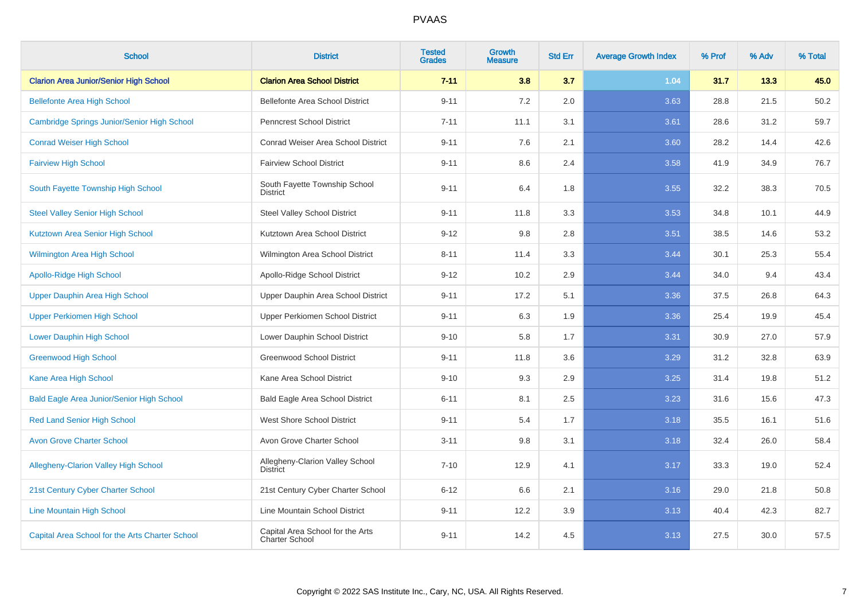| <b>School</b>                                    | <b>District</b>                                    | <b>Tested</b><br><b>Grades</b> | <b>Growth</b><br><b>Measure</b> | <b>Std Err</b> | <b>Average Growth Index</b> | % Prof | % Adv | % Total |
|--------------------------------------------------|----------------------------------------------------|--------------------------------|---------------------------------|----------------|-----------------------------|--------|-------|---------|
| <b>Clarion Area Junior/Senior High School</b>    | <b>Clarion Area School District</b>                | $7 - 11$                       | 3.8                             | 3.7            | 1.04                        | 31.7   | 13.3  | 45.0    |
| <b>Bellefonte Area High School</b>               | Bellefonte Area School District                    | $9 - 11$                       | 7.2                             | 2.0            | 3.63                        | 28.8   | 21.5  | 50.2    |
| Cambridge Springs Junior/Senior High School      | <b>Penncrest School District</b>                   | $7 - 11$                       | 11.1                            | 3.1            | 3.61                        | 28.6   | 31.2  | 59.7    |
| <b>Conrad Weiser High School</b>                 | Conrad Weiser Area School District                 | $9 - 11$                       | 7.6                             | 2.1            | 3.60                        | 28.2   | 14.4  | 42.6    |
| <b>Fairview High School</b>                      | <b>Fairview School District</b>                    | $9 - 11$                       | 8.6                             | 2.4            | 3.58                        | 41.9   | 34.9  | 76.7    |
| South Fayette Township High School               | South Fayette Township School<br><b>District</b>   | $9 - 11$                       | 6.4                             | 1.8            | 3.55                        | 32.2   | 38.3  | 70.5    |
| <b>Steel Valley Senior High School</b>           | <b>Steel Valley School District</b>                | $9 - 11$                       | 11.8                            | 3.3            | 3.53                        | 34.8   | 10.1  | 44.9    |
| Kutztown Area Senior High School                 | Kutztown Area School District                      | $9 - 12$                       | 9.8                             | 2.8            | 3.51                        | 38.5   | 14.6  | 53.2    |
| <b>Wilmington Area High School</b>               | Wilmington Area School District                    | $8 - 11$                       | 11.4                            | 3.3            | 3.44                        | 30.1   | 25.3  | 55.4    |
| <b>Apollo-Ridge High School</b>                  | Apollo-Ridge School District                       | $9 - 12$                       | 10.2                            | 2.9            | 3.44                        | 34.0   | 9.4   | 43.4    |
| Upper Dauphin Area High School                   | Upper Dauphin Area School District                 | $9 - 11$                       | 17.2                            | 5.1            | 3.36                        | 37.5   | 26.8  | 64.3    |
| <b>Upper Perkiomen High School</b>               | Upper Perkiomen School District                    | $9 - 11$                       | 6.3                             | 1.9            | 3.36                        | 25.4   | 19.9  | 45.4    |
| <b>Lower Dauphin High School</b>                 | Lower Dauphin School District                      | $9 - 10$                       | 5.8                             | 1.7            | 3.31                        | 30.9   | 27.0  | 57.9    |
| <b>Greenwood High School</b>                     | <b>Greenwood School District</b>                   | $9 - 11$                       | 11.8                            | 3.6            | 3.29                        | 31.2   | 32.8  | 63.9    |
| Kane Area High School                            | Kane Area School District                          | $9 - 10$                       | 9.3                             | 2.9            | 3.25                        | 31.4   | 19.8  | 51.2    |
| <b>Bald Eagle Area Junior/Senior High School</b> | <b>Bald Eagle Area School District</b>             | $6 - 11$                       | 8.1                             | 2.5            | 3.23                        | 31.6   | 15.6  | 47.3    |
| <b>Red Land Senior High School</b>               | West Shore School District                         | $9 - 11$                       | 5.4                             | 1.7            | 3.18                        | 35.5   | 16.1  | 51.6    |
| <b>Avon Grove Charter School</b>                 | Avon Grove Charter School                          | $3 - 11$                       | 9.8                             | 3.1            | 3.18                        | 32.4   | 26.0  | 58.4    |
| <b>Allegheny-Clarion Valley High School</b>      | Allegheny-Clarion Valley School<br><b>District</b> | $7 - 10$                       | 12.9                            | 4.1            | 3.17                        | 33.3   | 19.0  | 52.4    |
| 21st Century Cyber Charter School                | 21st Century Cyber Charter School                  | $6 - 12$                       | 6.6                             | 2.1            | 3.16                        | 29.0   | 21.8  | 50.8    |
| <b>Line Mountain High School</b>                 | Line Mountain School District                      | $9 - 11$                       | 12.2                            | 3.9            | 3.13                        | 40.4   | 42.3  | 82.7    |
| Capital Area School for the Arts Charter School  | Capital Area School for the Arts<br>Charter School | $9 - 11$                       | 14.2                            | 4.5            | 3.13                        | 27.5   | 30.0  | 57.5    |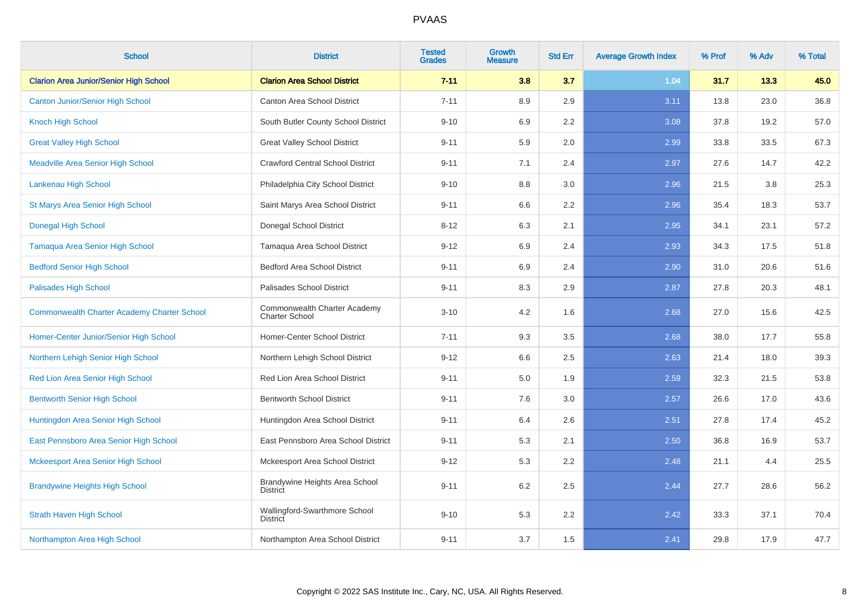| <b>School</b>                                      | <b>District</b>                                       | <b>Tested</b><br><b>Grades</b> | <b>Growth</b><br><b>Measure</b> | <b>Std Err</b> | <b>Average Growth Index</b> | % Prof | % Adv | % Total |
|----------------------------------------------------|-------------------------------------------------------|--------------------------------|---------------------------------|----------------|-----------------------------|--------|-------|---------|
| <b>Clarion Area Junior/Senior High School</b>      | <b>Clarion Area School District</b>                   | $7 - 11$                       | 3.8                             | 3.7            | 1.04                        | 31.7   | 13.3  | 45.0    |
| <b>Canton Junior/Senior High School</b>            | Canton Area School District                           | $7 - 11$                       | 8.9                             | 2.9            | 3.11                        | 13.8   | 23.0  | 36.8    |
| <b>Knoch High School</b>                           | South Butler County School District                   | $9 - 10$                       | 6.9                             | 2.2            | 3.08                        | 37.8   | 19.2  | 57.0    |
| <b>Great Valley High School</b>                    | <b>Great Valley School District</b>                   | $9 - 11$                       | 5.9                             | 2.0            | 2.99                        | 33.8   | 33.5  | 67.3    |
| <b>Meadville Area Senior High School</b>           | <b>Crawford Central School District</b>               | $9 - 11$                       | 7.1                             | 2.4            | 2.97                        | 27.6   | 14.7  | 42.2    |
| Lankenau High School                               | Philadelphia City School District                     | $9 - 10$                       | 8.8                             | 3.0            | 2.96                        | 21.5   | 3.8   | 25.3    |
| <b>St Marys Area Senior High School</b>            | Saint Marys Area School District                      | $9 - 11$                       | 6.6                             | 2.2            | 2.96                        | 35.4   | 18.3  | 53.7    |
| <b>Donegal High School</b>                         | Donegal School District                               | $8 - 12$                       | 6.3                             | 2.1            | 2.95                        | 34.1   | 23.1  | 57.2    |
| Tamaqua Area Senior High School                    | Tamaqua Area School District                          | $9 - 12$                       | 6.9                             | 2.4            | 2.93                        | 34.3   | 17.5  | 51.8    |
| <b>Bedford Senior High School</b>                  | <b>Bedford Area School District</b>                   | $9 - 11$                       | 6.9                             | 2.4            | 2.90                        | 31.0   | 20.6  | 51.6    |
| <b>Palisades High School</b>                       | Palisades School District                             | $9 - 11$                       | 8.3                             | 2.9            | 2.87                        | 27.8   | 20.3  | 48.1    |
| <b>Commonwealth Charter Academy Charter School</b> | Commonwealth Charter Academy<br><b>Charter School</b> | $3 - 10$                       | 4.2                             | 1.6            | 2.68                        | 27.0   | 15.6  | 42.5    |
| Homer-Center Junior/Senior High School             | Homer-Center School District                          | $7 - 11$                       | 9.3                             | 3.5            | 2.68                        | 38.0   | 17.7  | 55.8    |
| Northern Lehigh Senior High School                 | Northern Lehigh School District                       | $9 - 12$                       | 6.6                             | 2.5            | 2.63                        | 21.4   | 18.0  | 39.3    |
| Red Lion Area Senior High School                   | Red Lion Area School District                         | $9 - 11$                       | 5.0                             | 1.9            | 2.59                        | 32.3   | 21.5  | 53.8    |
| <b>Bentworth Senior High School</b>                | <b>Bentworth School District</b>                      | $9 - 11$                       | 7.6                             | 3.0            | 2.57                        | 26.6   | 17.0  | 43.6    |
| Huntingdon Area Senior High School                 | Huntingdon Area School District                       | $9 - 11$                       | 6.4                             | 2.6            | 2.51                        | 27.8   | 17.4  | 45.2    |
| East Pennsboro Area Senior High School             | East Pennsboro Area School District                   | $9 - 11$                       | 5.3                             | 2.1            | 2.50                        | 36.8   | 16.9  | 53.7    |
| Mckeesport Area Senior High School                 | Mckeesport Area School District                       | $9 - 12$                       | 5.3                             | 2.2            | 2.48                        | 21.1   | 4.4   | 25.5    |
| <b>Brandywine Heights High School</b>              | Brandywine Heights Area School<br><b>District</b>     | $9 - 11$                       | 6.2                             | 2.5            | 2.44                        | 27.7   | 28.6  | 56.2    |
| <b>Strath Haven High School</b>                    | Wallingford-Swarthmore School<br><b>District</b>      | $9 - 10$                       | 5.3                             | 2.2            | 2.42                        | 33.3   | 37.1  | 70.4    |
| Northampton Area High School                       | Northampton Area School District                      | $9 - 11$                       | 3.7                             | 1.5            | 2.41                        | 29.8   | 17.9  | 47.7    |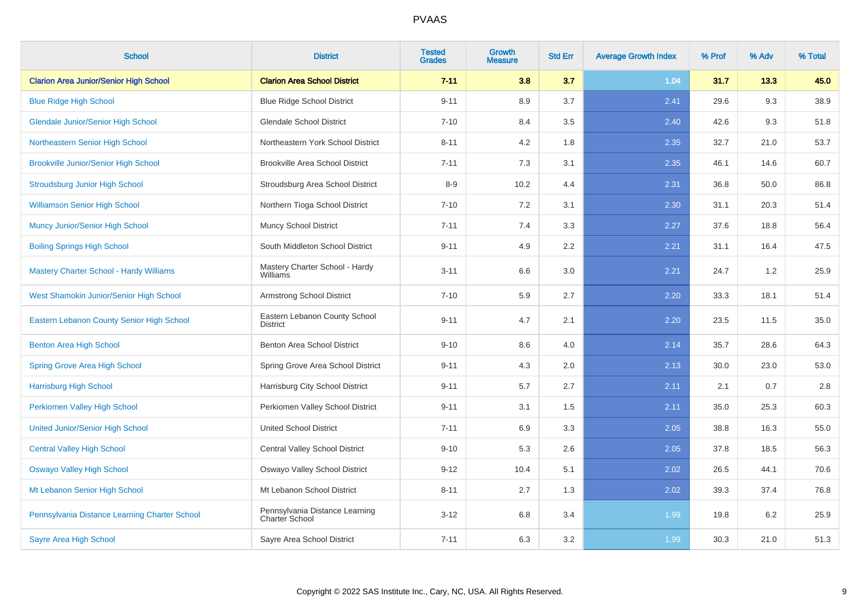| <b>School</b>                                  | <b>District</b>                                  | <b>Tested</b><br><b>Grades</b> | <b>Growth</b><br><b>Measure</b> | <b>Std Err</b> | <b>Average Growth Index</b> | % Prof | % Adv | % Total |
|------------------------------------------------|--------------------------------------------------|--------------------------------|---------------------------------|----------------|-----------------------------|--------|-------|---------|
| <b>Clarion Area Junior/Senior High School</b>  | <b>Clarion Area School District</b>              | $7 - 11$                       | 3.8                             | 3.7            | 1.04                        | 31.7   | 13.3  | 45.0    |
| <b>Blue Ridge High School</b>                  | <b>Blue Ridge School District</b>                | $9 - 11$                       | 8.9                             | 3.7            | 2.41                        | 29.6   | 9.3   | 38.9    |
| <b>Glendale Junior/Senior High School</b>      | <b>Glendale School District</b>                  | $7 - 10$                       | 8.4                             | 3.5            | 2.40                        | 42.6   | 9.3   | 51.8    |
| Northeastern Senior High School                | Northeastern York School District                | $8 - 11$                       | 4.2                             | 1.8            | 2.35                        | 32.7   | 21.0  | 53.7    |
| <b>Brookville Junior/Senior High School</b>    | <b>Brookville Area School District</b>           | $7 - 11$                       | 7.3                             | 3.1            | 2.35                        | 46.1   | 14.6  | 60.7    |
| <b>Stroudsburg Junior High School</b>          | Stroudsburg Area School District                 | $8 - 9$                        | 10.2                            | 4.4            | 2.31                        | 36.8   | 50.0  | 86.8    |
| <b>Williamson Senior High School</b>           | Northern Tioga School District                   | $7 - 10$                       | 7.2                             | 3.1            | 2.30                        | 31.1   | 20.3  | 51.4    |
| Muncy Junior/Senior High School                | <b>Muncy School District</b>                     | $7 - 11$                       | 7.4                             | 3.3            | 2.27                        | 37.6   | 18.8  | 56.4    |
| <b>Boiling Springs High School</b>             | South Middleton School District                  | $9 - 11$                       | 4.9                             | 2.2            | 2.21                        | 31.1   | 16.4  | 47.5    |
| <b>Mastery Charter School - Hardy Williams</b> | Mastery Charter School - Hardy<br>Williams       | $3 - 11$                       | 6.6                             | 3.0            | 2.21                        | 24.7   | 1.2   | 25.9    |
| West Shamokin Junior/Senior High School        | Armstrong School District                        | $7 - 10$                       | 5.9                             | 2.7            | 2.20                        | 33.3   | 18.1  | 51.4    |
| Eastern Lebanon County Senior High School      | Eastern Lebanon County School<br><b>District</b> | $9 - 11$                       | 4.7                             | 2.1            | 2.20                        | 23.5   | 11.5  | 35.0    |
| <b>Benton Area High School</b>                 | Benton Area School District                      | $9 - 10$                       | 8.6                             | 4.0            | 2.14                        | 35.7   | 28.6  | 64.3    |
| <b>Spring Grove Area High School</b>           | Spring Grove Area School District                | $9 - 11$                       | 4.3                             | 2.0            | 2.13                        | 30.0   | 23.0  | 53.0    |
| <b>Harrisburg High School</b>                  | Harrisburg City School District                  | $9 - 11$                       | 5.7                             | 2.7            | 2.11                        | 2.1    | 0.7   | $2.8\,$ |
| Perkiomen Valley High School                   | Perkiomen Valley School District                 | $9 - 11$                       | 3.1                             | 1.5            | 2.11                        | 35.0   | 25.3  | 60.3    |
| <b>United Junior/Senior High School</b>        | United School District                           | $7 - 11$                       | 6.9                             | 3.3            | 2.05                        | 38.8   | 16.3  | 55.0    |
| <b>Central Valley High School</b>              | Central Valley School District                   | $9 - 10$                       | 5.3                             | 2.6            | 2.05                        | 37.8   | 18.5  | 56.3    |
| <b>Oswayo Valley High School</b>               | Oswayo Valley School District                    | $9 - 12$                       | 10.4                            | 5.1            | 2.02                        | 26.5   | 44.1  | 70.6    |
| Mt Lebanon Senior High School                  | Mt Lebanon School District                       | $8 - 11$                       | 2.7                             | 1.3            | 2.02                        | 39.3   | 37.4  | 76.8    |
| Pennsylvania Distance Learning Charter School  | Pennsylvania Distance Learning<br>Charter School | $3 - 12$                       | 6.8                             | 3.4            | 1.99                        | 19.8   | 6.2   | 25.9    |
| <b>Sayre Area High School</b>                  | Sayre Area School District                       | $7 - 11$                       | 6.3                             | 3.2            | 1.99                        | 30.3   | 21.0  | 51.3    |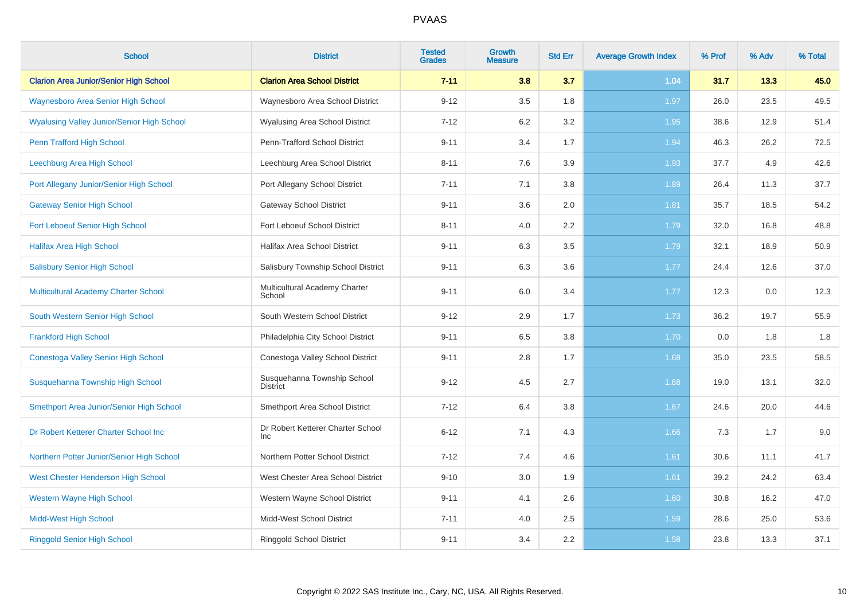| <b>School</b>                                     | <b>District</b>                                | <b>Tested</b><br><b>Grades</b> | Growth<br>Measure | <b>Std Err</b> | <b>Average Growth Index</b> | % Prof | % Adv | % Total |
|---------------------------------------------------|------------------------------------------------|--------------------------------|-------------------|----------------|-----------------------------|--------|-------|---------|
| <b>Clarion Area Junior/Senior High School</b>     | <b>Clarion Area School District</b>            | $7 - 11$                       | 3.8               | 3.7            | 1.04                        | 31.7   | 13.3  | 45.0    |
| <b>Waynesboro Area Senior High School</b>         | Waynesboro Area School District                | $9 - 12$                       | 3.5               | 1.8            | 1.97                        | 26.0   | 23.5  | 49.5    |
| <b>Wyalusing Valley Junior/Senior High School</b> | Wyalusing Area School District                 | $7 - 12$                       | 6.2               | 3.2            | 1.95                        | 38.6   | 12.9  | 51.4    |
| Penn Trafford High School                         | Penn-Trafford School District                  | $9 - 11$                       | 3.4               | 1.7            | 1.94                        | 46.3   | 26.2  | 72.5    |
| Leechburg Area High School                        | Leechburg Area School District                 | $8 - 11$                       | 7.6               | 3.9            | 1.93                        | 37.7   | 4.9   | 42.6    |
| Port Allegany Junior/Senior High School           | Port Allegany School District                  | $7 - 11$                       | 7.1               | 3.8            | 1.89                        | 26.4   | 11.3  | 37.7    |
| <b>Gateway Senior High School</b>                 | Gateway School District                        | $9 - 11$                       | 3.6               | 2.0            | 1.81                        | 35.7   | 18.5  | 54.2    |
| <b>Fort Leboeuf Senior High School</b>            | Fort Leboeuf School District                   | $8 - 11$                       | 4.0               | 2.2            | 1.79                        | 32.0   | 16.8  | 48.8    |
| <b>Halifax Area High School</b>                   | Halifax Area School District                   | $9 - 11$                       | 6.3               | 3.5            | 1.79                        | 32.1   | 18.9  | 50.9    |
| <b>Salisbury Senior High School</b>               | Salisbury Township School District             | $9 - 11$                       | 6.3               | 3.6            | 1.77                        | 24.4   | 12.6  | 37.0    |
| Multicultural Academy Charter School              | Multicultural Academy Charter<br>School        | $9 - 11$                       | 6.0               | 3.4            | 1.77                        | 12.3   | 0.0   | 12.3    |
| South Western Senior High School                  | South Western School District                  | $9 - 12$                       | 2.9               | 1.7            | 1.73                        | 36.2   | 19.7  | 55.9    |
| <b>Frankford High School</b>                      | Philadelphia City School District              | $9 - 11$                       | 6.5               | 3.8            | 1.70                        | 0.0    | 1.8   | 1.8     |
| Conestoga Valley Senior High School               | Conestoga Valley School District               | $9 - 11$                       | 2.8               | 1.7            | 1.68                        | 35.0   | 23.5  | 58.5    |
| Susquehanna Township High School                  | Susquehanna Township School<br><b>District</b> | $9 - 12$                       | 4.5               | 2.7            | 1.68                        | 19.0   | 13.1  | 32.0    |
| Smethport Area Junior/Senior High School          | Smethport Area School District                 | $7 - 12$                       | 6.4               | $3.8\,$        | 1.67                        | 24.6   | 20.0  | 44.6    |
| Dr Robert Ketterer Charter School Inc             | Dr Robert Ketterer Charter School<br>Inc       | $6 - 12$                       | 7.1               | 4.3            | 1.66                        | 7.3    | 1.7   | 9.0     |
| Northern Potter Junior/Senior High School         | Northern Potter School District                | $7 - 12$                       | 7.4               | 4.6            | 1.61                        | 30.6   | 11.1  | 41.7    |
| <b>West Chester Henderson High School</b>         | West Chester Area School District              | $9 - 10$                       | 3.0               | 1.9            | 1.61                        | 39.2   | 24.2  | 63.4    |
| <b>Western Wayne High School</b>                  | Western Wayne School District                  | $9 - 11$                       | 4.1               | 2.6            | 1.60                        | 30.8   | 16.2  | 47.0    |
| <b>Midd-West High School</b>                      | Midd-West School District                      | $7 - 11$                       | 4.0               | 2.5            | 1.59                        | 28.6   | 25.0  | 53.6    |
| <b>Ringgold Senior High School</b>                | <b>Ringgold School District</b>                | $9 - 11$                       | 3.4               | 2.2            | 1.58                        | 23.8   | 13.3  | 37.1    |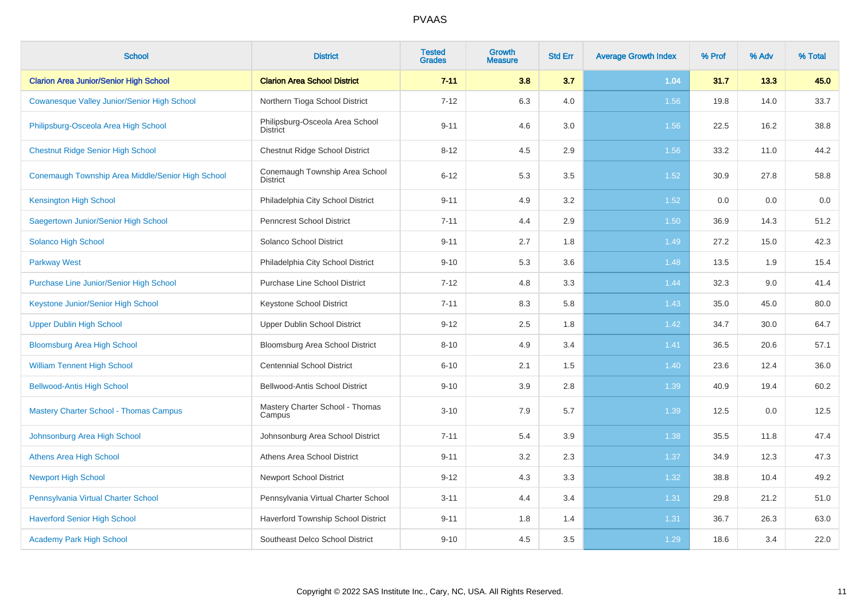| <b>School</b>                                      | <b>District</b>                                    | <b>Tested</b><br><b>Grades</b> | <b>Growth</b><br><b>Measure</b> | <b>Std Err</b> | <b>Average Growth Index</b> | % Prof | % Adv | % Total |
|----------------------------------------------------|----------------------------------------------------|--------------------------------|---------------------------------|----------------|-----------------------------|--------|-------|---------|
| <b>Clarion Area Junior/Senior High School</b>      | <b>Clarion Area School District</b>                | $7 - 11$                       | 3.8                             | 3.7            | 1.04                        | 31.7   | 13.3  | 45.0    |
| <b>Cowanesque Valley Junior/Senior High School</b> | Northern Tioga School District                     | $7 - 12$                       | 6.3                             | 4.0            | 1.56                        | 19.8   | 14.0  | 33.7    |
| Philipsburg-Osceola Area High School               | Philipsburg-Osceola Area School<br><b>District</b> | $9 - 11$                       | 4.6                             | 3.0            | 1.56                        | 22.5   | 16.2  | 38.8    |
| <b>Chestnut Ridge Senior High School</b>           | Chestnut Ridge School District                     | $8 - 12$                       | 4.5                             | 2.9            | 1.56                        | 33.2   | 11.0  | 44.2    |
| Conemaugh Township Area Middle/Senior High School  | Conemaugh Township Area School<br><b>District</b>  | $6 - 12$                       | 5.3                             | 3.5            | 1.52                        | 30.9   | 27.8  | 58.8    |
| <b>Kensington High School</b>                      | Philadelphia City School District                  | $9 - 11$                       | 4.9                             | 3.2            | 1.52                        | 0.0    | 0.0   | 0.0     |
| Saegertown Junior/Senior High School               | Penncrest School District                          | $7 - 11$                       | 4.4                             | 2.9            | 1.50                        | 36.9   | 14.3  | 51.2    |
| Solanco High School                                | Solanco School District                            | $9 - 11$                       | 2.7                             | 1.8            | 1.49                        | 27.2   | 15.0  | 42.3    |
| <b>Parkway West</b>                                | Philadelphia City School District                  | $9 - 10$                       | 5.3                             | 3.6            | 1.48                        | 13.5   | 1.9   | 15.4    |
| <b>Purchase Line Junior/Senior High School</b>     | <b>Purchase Line School District</b>               | $7 - 12$                       | 4.8                             | 3.3            | 1.44                        | 32.3   | 9.0   | 41.4    |
| Keystone Junior/Senior High School                 | Keystone School District                           | $7 - 11$                       | 8.3                             | 5.8            | 1.43                        | 35.0   | 45.0  | 80.0    |
| <b>Upper Dublin High School</b>                    | Upper Dublin School District                       | $9 - 12$                       | 2.5                             | 1.8            | 1.42                        | 34.7   | 30.0  | 64.7    |
| <b>Bloomsburg Area High School</b>                 | Bloomsburg Area School District                    | $8 - 10$                       | 4.9                             | 3.4            | 1.41                        | 36.5   | 20.6  | 57.1    |
| <b>William Tennent High School</b>                 | <b>Centennial School District</b>                  | $6 - 10$                       | 2.1                             | 1.5            | 1.40                        | 23.6   | 12.4  | 36.0    |
| <b>Bellwood-Antis High School</b>                  | Bellwood-Antis School District                     | $9 - 10$                       | 3.9                             | 2.8            | 1.39                        | 40.9   | 19.4  | 60.2    |
| <b>Mastery Charter School - Thomas Campus</b>      | Mastery Charter School - Thomas<br>Campus          | $3 - 10$                       | 7.9                             | 5.7            | 1.39                        | 12.5   | 0.0   | 12.5    |
| Johnsonburg Area High School                       | Johnsonburg Area School District                   | $7 - 11$                       | 5.4                             | 3.9            | 1.38                        | 35.5   | 11.8  | 47.4    |
| <b>Athens Area High School</b>                     | Athens Area School District                        | $9 - 11$                       | 3.2                             | 2.3            | 1.37                        | 34.9   | 12.3  | 47.3    |
| <b>Newport High School</b>                         | <b>Newport School District</b>                     | $9 - 12$                       | 4.3                             | 3.3            | 1.32                        | 38.8   | 10.4  | 49.2    |
| Pennsylvania Virtual Charter School                | Pennsylvania Virtual Charter School                | $3 - 11$                       | 4.4                             | 3.4            | 1.31                        | 29.8   | 21.2  | 51.0    |
| <b>Haverford Senior High School</b>                | Haverford Township School District                 | $9 - 11$                       | 1.8                             | 1.4            | 1.31                        | 36.7   | 26.3  | 63.0    |
| <b>Academy Park High School</b>                    | Southeast Delco School District                    | $9 - 10$                       | 4.5                             | 3.5            | 1.29                        | 18.6   | 3.4   | 22.0    |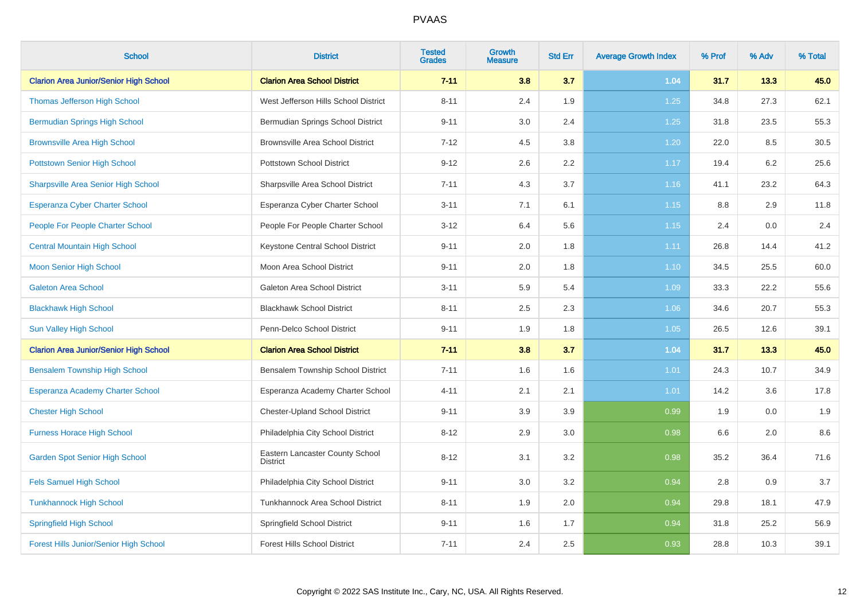| <b>School</b>                                 | <b>District</b>                                    | <b>Tested</b><br><b>Grades</b> | Growth<br><b>Measure</b> | <b>Std Err</b> | <b>Average Growth Index</b> | % Prof | % Adv | % Total |
|-----------------------------------------------|----------------------------------------------------|--------------------------------|--------------------------|----------------|-----------------------------|--------|-------|---------|
| <b>Clarion Area Junior/Senior High School</b> | <b>Clarion Area School District</b>                | $7 - 11$                       | 3.8                      | 3.7            | 1.04                        | 31.7   | 13.3  | 45.0    |
| <b>Thomas Jefferson High School</b>           | West Jefferson Hills School District               | $8 - 11$                       | 2.4                      | 1.9            | 1.25                        | 34.8   | 27.3  | 62.1    |
| <b>Bermudian Springs High School</b>          | Bermudian Springs School District                  | $9 - 11$                       | 3.0                      | 2.4            | 1.25                        | 31.8   | 23.5  | 55.3    |
| <b>Brownsville Area High School</b>           | Brownsville Area School District                   | $7 - 12$                       | 4.5                      | 3.8            | 1.20                        | 22.0   | 8.5   | 30.5    |
| <b>Pottstown Senior High School</b>           | Pottstown School District                          | $9 - 12$                       | 2.6                      | 2.2            | 1.17                        | 19.4   | 6.2   | 25.6    |
| <b>Sharpsville Area Senior High School</b>    | Sharpsville Area School District                   | $7 - 11$                       | 4.3                      | 3.7            | 1.16                        | 41.1   | 23.2  | 64.3    |
| Esperanza Cyber Charter School                | Esperanza Cyber Charter School                     | $3 - 11$                       | 7.1                      | 6.1            | 1.15                        | 8.8    | 2.9   | 11.8    |
| People For People Charter School              | People For People Charter School                   | $3 - 12$                       | 6.4                      | 5.6            | 1.15                        | 2.4    | 0.0   | 2.4     |
| <b>Central Mountain High School</b>           | Keystone Central School District                   | $9 - 11$                       | 2.0                      | 1.8            | 1.11                        | 26.8   | 14.4  | 41.2    |
| <b>Moon Senior High School</b>                | Moon Area School District                          | $9 - 11$                       | 2.0                      | 1.8            | 1.10                        | 34.5   | 25.5  | 60.0    |
| <b>Galeton Area School</b>                    | Galeton Area School District                       | $3 - 11$                       | 5.9                      | 5.4            | 1.09                        | 33.3   | 22.2  | 55.6    |
| <b>Blackhawk High School</b>                  | <b>Blackhawk School District</b>                   | $8 - 11$                       | 2.5                      | 2.3            | 1.06                        | 34.6   | 20.7  | 55.3    |
| <b>Sun Valley High School</b>                 | Penn-Delco School District                         | $9 - 11$                       | 1.9                      | 1.8            | 1.05                        | 26.5   | 12.6  | 39.1    |
| <b>Clarion Area Junior/Senior High School</b> | <b>Clarion Area School District</b>                | $7 - 11$                       | 3.8                      | 3.7            | 1.04                        | 31.7   | 13.3  | 45.0    |
| <b>Bensalem Township High School</b>          | Bensalem Township School District                  | $7 - 11$                       | 1.6                      | 1.6            | 1.01                        | 24.3   | 10.7  | 34.9    |
| Esperanza Academy Charter School              | Esperanza Academy Charter School                   | $4 - 11$                       | 2.1                      | 2.1            | 1.01                        | 14.2   | 3.6   | 17.8    |
| <b>Chester High School</b>                    | <b>Chester-Upland School District</b>              | $9 - 11$                       | 3.9                      | 3.9            | 0.99                        | 1.9    | 0.0   | 1.9     |
| <b>Furness Horace High School</b>             | Philadelphia City School District                  | $8 - 12$                       | 2.9                      | 3.0            | 0.98                        | 6.6    | 2.0   | 8.6     |
| <b>Garden Spot Senior High School</b>         | Eastern Lancaster County School<br><b>District</b> | $8 - 12$                       | 3.1                      | 3.2            | 0.98                        | 35.2   | 36.4  | 71.6    |
| <b>Fels Samuel High School</b>                | Philadelphia City School District                  | $9 - 11$                       | 3.0                      | 3.2            | 0.94                        | 2.8    | 0.9   | 3.7     |
| <b>Tunkhannock High School</b>                | Tunkhannock Area School District                   | $8 - 11$                       | 1.9                      | 2.0            | 0.94                        | 29.8   | 18.1  | 47.9    |
| <b>Springfield High School</b>                | Springfield School District                        | $9 - 11$                       | 1.6                      | 1.7            | 0.94                        | 31.8   | 25.2  | 56.9    |
| <b>Forest Hills Junior/Senior High School</b> | <b>Forest Hills School District</b>                | $7 - 11$                       | 2.4                      | 2.5            | 0.93                        | 28.8   | 10.3  | 39.1    |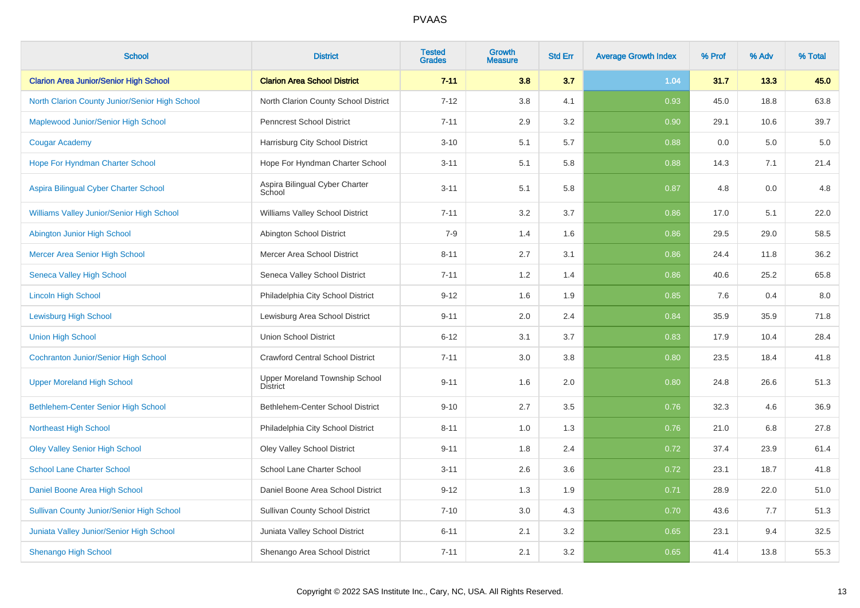| <b>School</b>                                    | <b>District</b>                                   | <b>Tested</b><br><b>Grades</b> | <b>Growth</b><br><b>Measure</b> | <b>Std Err</b> | <b>Average Growth Index</b> | % Prof | % Adv | % Total |
|--------------------------------------------------|---------------------------------------------------|--------------------------------|---------------------------------|----------------|-----------------------------|--------|-------|---------|
| <b>Clarion Area Junior/Senior High School</b>    | <b>Clarion Area School District</b>               | $7 - 11$                       | 3.8                             | 3.7            | 1.04                        | 31.7   | 13.3  | 45.0    |
| North Clarion County Junior/Senior High School   | North Clarion County School District              | $7 - 12$                       | 3.8                             | 4.1            | 0.93                        | 45.0   | 18.8  | 63.8    |
| Maplewood Junior/Senior High School              | <b>Penncrest School District</b>                  | $7 - 11$                       | 2.9                             | 3.2            | 0.90                        | 29.1   | 10.6  | 39.7    |
| <b>Cougar Academy</b>                            | Harrisburg City School District                   | $3 - 10$                       | 5.1                             | 5.7            | 0.88                        | 0.0    | 5.0   | 5.0     |
| Hope For Hyndman Charter School                  | Hope For Hyndman Charter School                   | $3 - 11$                       | 5.1                             | 5.8            | 0.88                        | 14.3   | 7.1   | 21.4    |
| Aspira Bilingual Cyber Charter School            | Aspira Bilingual Cyber Charter<br>School          | $3 - 11$                       | 5.1                             | 5.8            | 0.87                        | 4.8    | 0.0   | 4.8     |
| Williams Valley Junior/Senior High School        | Williams Valley School District                   | $7 - 11$                       | $3.2\,$                         | 3.7            | 0.86                        | 17.0   | 5.1   | 22.0    |
| Abington Junior High School                      | Abington School District                          | $7 - 9$                        | 1.4                             | 1.6            | 0.86                        | 29.5   | 29.0  | 58.5    |
| <b>Mercer Area Senior High School</b>            | Mercer Area School District                       | $8 - 11$                       | 2.7                             | 3.1            | 0.86                        | 24.4   | 11.8  | 36.2    |
| <b>Seneca Valley High School</b>                 | Seneca Valley School District                     | $7 - 11$                       | 1.2                             | 1.4            | 0.86                        | 40.6   | 25.2  | 65.8    |
| <b>Lincoln High School</b>                       | Philadelphia City School District                 | $9 - 12$                       | 1.6                             | 1.9            | 0.85                        | 7.6    | 0.4   | 8.0     |
| <b>Lewisburg High School</b>                     | Lewisburg Area School District                    | $9 - 11$                       | 2.0                             | 2.4            | 0.84                        | 35.9   | 35.9  | 71.8    |
| <b>Union High School</b>                         | <b>Union School District</b>                      | $6 - 12$                       | 3.1                             | 3.7            | 0.83                        | 17.9   | 10.4  | 28.4    |
| <b>Cochranton Junior/Senior High School</b>      | <b>Crawford Central School District</b>           | $7 - 11$                       | 3.0                             | 3.8            | 0.80                        | 23.5   | 18.4  | 41.8    |
| <b>Upper Moreland High School</b>                | Upper Moreland Township School<br><b>District</b> | $9 - 11$                       | 1.6                             | 2.0            | 0.80                        | 24.8   | 26.6  | 51.3    |
| <b>Bethlehem-Center Senior High School</b>       | Bethlehem-Center School District                  | $9 - 10$                       | 2.7                             | 3.5            | 0.76                        | 32.3   | 4.6   | 36.9    |
| Northeast High School                            | Philadelphia City School District                 | $8 - 11$                       | 1.0                             | 1.3            | 0.76                        | 21.0   | 6.8   | 27.8    |
| <b>Oley Valley Senior High School</b>            | <b>Oley Valley School District</b>                | $9 - 11$                       | 1.8                             | 2.4            | 0.72                        | 37.4   | 23.9  | 61.4    |
| <b>School Lane Charter School</b>                | School Lane Charter School                        | $3 - 11$                       | $2.6\,$                         | 3.6            | 0.72                        | 23.1   | 18.7  | 41.8    |
| Daniel Boone Area High School                    | Daniel Boone Area School District                 | $9 - 12$                       | 1.3                             | 1.9            | 0.71                        | 28.9   | 22.0  | 51.0    |
| <b>Sullivan County Junior/Senior High School</b> | <b>Sullivan County School District</b>            | $7 - 10$                       | 3.0                             | 4.3            | 0.70                        | 43.6   | 7.7   | 51.3    |
| Juniata Valley Junior/Senior High School         | Juniata Valley School District                    | $6 - 11$                       | 2.1                             | 3.2            | 0.65                        | 23.1   | 9.4   | 32.5    |
| <b>Shenango High School</b>                      | Shenango Area School District                     | $7 - 11$                       | 2.1                             | 3.2            | 0.65                        | 41.4   | 13.8  | 55.3    |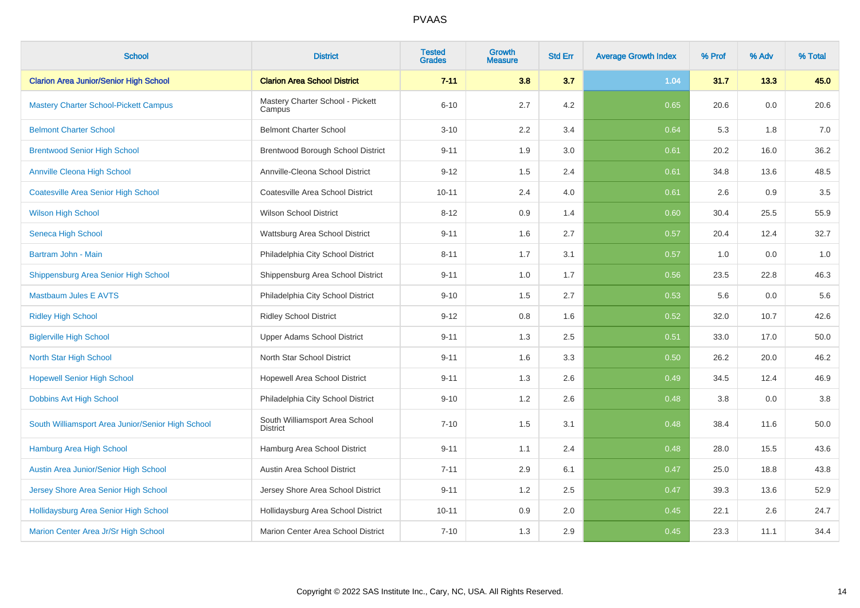| <b>School</b>                                     | <b>District</b>                                   | <b>Tested</b><br><b>Grades</b> | Growth<br><b>Measure</b> | <b>Std Err</b> | <b>Average Growth Index</b> | % Prof | % Adv | % Total |
|---------------------------------------------------|---------------------------------------------------|--------------------------------|--------------------------|----------------|-----------------------------|--------|-------|---------|
| <b>Clarion Area Junior/Senior High School</b>     | <b>Clarion Area School District</b>               | $7 - 11$                       | 3.8                      | 3.7            | 1.04                        | 31.7   | 13.3  | 45.0    |
| <b>Mastery Charter School-Pickett Campus</b>      | Mastery Charter School - Pickett<br>Campus        | $6 - 10$                       | 2.7                      | 4.2            | 0.65                        | 20.6   | 0.0   | 20.6    |
| <b>Belmont Charter School</b>                     | <b>Belmont Charter School</b>                     | $3 - 10$                       | 2.2                      | 3.4            | 0.64                        | 5.3    | 1.8   | 7.0     |
| <b>Brentwood Senior High School</b>               | Brentwood Borough School District                 | $9 - 11$                       | 1.9                      | 3.0            | 0.61                        | 20.2   | 16.0  | 36.2    |
| <b>Annville Cleona High School</b>                | Annville-Cleona School District                   | $9 - 12$                       | 1.5                      | 2.4            | 0.61                        | 34.8   | 13.6  | 48.5    |
| <b>Coatesville Area Senior High School</b>        | Coatesville Area School District                  | $10 - 11$                      | 2.4                      | 4.0            | 0.61                        | 2.6    | 0.9   | $3.5\,$ |
| <b>Wilson High School</b>                         | <b>Wilson School District</b>                     | $8 - 12$                       | 0.9                      | 1.4            | 0.60                        | 30.4   | 25.5  | 55.9    |
| Seneca High School                                | Wattsburg Area School District                    | $9 - 11$                       | 1.6                      | 2.7            | 0.57                        | 20.4   | 12.4  | 32.7    |
| Bartram John - Main                               | Philadelphia City School District                 | $8 - 11$                       | 1.7                      | 3.1            | 0.57                        | 1.0    | 0.0   | 1.0     |
| Shippensburg Area Senior High School              | Shippensburg Area School District                 | $9 - 11$                       | 1.0                      | 1.7            | 0.56                        | 23.5   | 22.8  | 46.3    |
| <b>Mastbaum Jules E AVTS</b>                      | Philadelphia City School District                 | $9 - 10$                       | 1.5                      | 2.7            | 0.53                        | 5.6    | 0.0   | 5.6     |
| <b>Ridley High School</b>                         | <b>Ridley School District</b>                     | $9 - 12$                       | 0.8                      | 1.6            | 0.52                        | 32.0   | 10.7  | 42.6    |
| <b>Biglerville High School</b>                    | Upper Adams School District                       | $9 - 11$                       | 1.3                      | 2.5            | 0.51                        | 33.0   | 17.0  | 50.0    |
| <b>North Star High School</b>                     | North Star School District                        | $9 - 11$                       | 1.6                      | 3.3            | 0.50                        | 26.2   | 20.0  | 46.2    |
| <b>Hopewell Senior High School</b>                | Hopewell Area School District                     | $9 - 11$                       | 1.3                      | 2.6            | 0.49                        | 34.5   | 12.4  | 46.9    |
| Dobbins Avt High School                           | Philadelphia City School District                 | $9 - 10$                       | 1.2                      | 2.6            | 0.48                        | 3.8    | 0.0   | 3.8     |
| South Williamsport Area Junior/Senior High School | South Williamsport Area School<br><b>District</b> | $7 - 10$                       | 1.5                      | 3.1            | 0.48                        | 38.4   | 11.6  | 50.0    |
| Hamburg Area High School                          | Hamburg Area School District                      | $9 - 11$                       | 1.1                      | 2.4            | 0.48                        | 28.0   | 15.5  | 43.6    |
| Austin Area Junior/Senior High School             | Austin Area School District                       | $7 - 11$                       | 2.9                      | 6.1            | 0.47                        | 25.0   | 18.8  | 43.8    |
| Jersey Shore Area Senior High School              | Jersey Shore Area School District                 | $9 - 11$                       | 1.2                      | 2.5            | 0.47                        | 39.3   | 13.6  | 52.9    |
| Hollidaysburg Area Senior High School             | Hollidaysburg Area School District                | $10 - 11$                      | 0.9                      | 2.0            | 0.45                        | 22.1   | 2.6   | 24.7    |
| Marion Center Area Jr/Sr High School              | Marion Center Area School District                | $7 - 10$                       | 1.3                      | 2.9            | 0.45                        | 23.3   | 11.1  | 34.4    |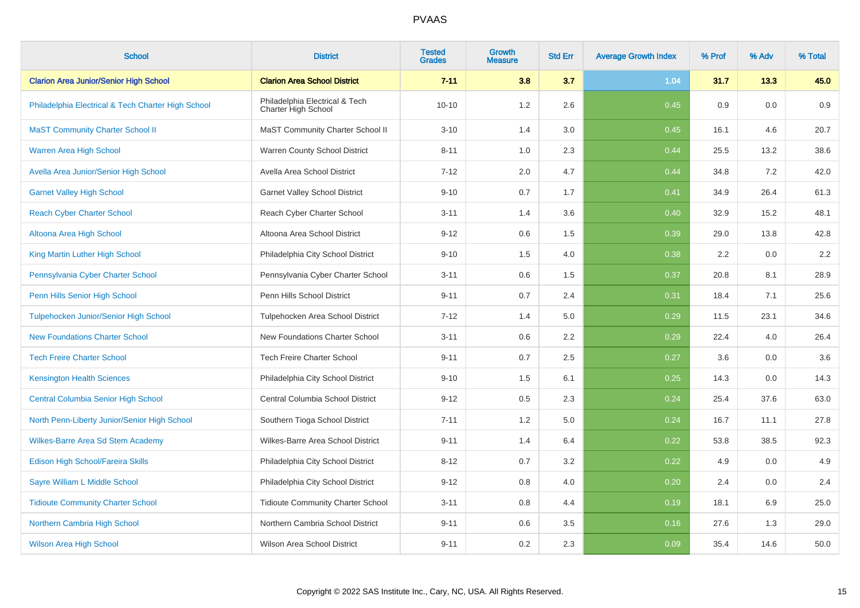| <b>School</b>                                      | <b>District</b>                                       | <b>Tested</b><br><b>Grades</b> | Growth<br>Measure | <b>Std Err</b> | <b>Average Growth Index</b> | % Prof | % Adv | % Total |
|----------------------------------------------------|-------------------------------------------------------|--------------------------------|-------------------|----------------|-----------------------------|--------|-------|---------|
| <b>Clarion Area Junior/Senior High School</b>      | <b>Clarion Area School District</b>                   | $7 - 11$                       | 3.8               | 3.7            | 1.04                        | 31.7   | 13.3  | 45.0    |
| Philadelphia Electrical & Tech Charter High School | Philadelphia Electrical & Tech<br>Charter High School | $10 - 10$                      | 1.2               | 2.6            | 0.45                        | 0.9    | 0.0   | 0.9     |
| <b>MaST Community Charter School II</b>            | MaST Community Charter School II                      | $3 - 10$                       | 1.4               | 3.0            | 0.45                        | 16.1   | 4.6   | 20.7    |
| <b>Warren Area High School</b>                     | Warren County School District                         | $8 - 11$                       | 1.0               | 2.3            | 0.44                        | 25.5   | 13.2  | 38.6    |
| Avella Area Junior/Senior High School              | Avella Area School District                           | $7 - 12$                       | 2.0               | 4.7            | 0.44                        | 34.8   | 7.2   | 42.0    |
| <b>Garnet Valley High School</b>                   | <b>Garnet Valley School District</b>                  | $9 - 10$                       | 0.7               | 1.7            | 0.41                        | 34.9   | 26.4  | 61.3    |
| <b>Reach Cyber Charter School</b>                  | Reach Cyber Charter School                            | $3 - 11$                       | 1.4               | 3.6            | 0.40                        | 32.9   | 15.2  | 48.1    |
| Altoona Area High School                           | Altoona Area School District                          | $9 - 12$                       | 0.6               | 1.5            | 0.39                        | 29.0   | 13.8  | 42.8    |
| King Martin Luther High School                     | Philadelphia City School District                     | $9 - 10$                       | 1.5               | 4.0            | 0.38                        | 2.2    | 0.0   | $2.2\,$ |
| Pennsylvania Cyber Charter School                  | Pennsylvania Cyber Charter School                     | $3 - 11$                       | $0.6\,$           | 1.5            | 0.37                        | 20.8   | 8.1   | 28.9    |
| Penn Hills Senior High School                      | Penn Hills School District                            | $9 - 11$                       | 0.7               | 2.4            | 0.31                        | 18.4   | 7.1   | 25.6    |
| <b>Tulpehocken Junior/Senior High School</b>       | Tulpehocken Area School District                      | $7 - 12$                       | 1.4               | 5.0            | 0.29                        | 11.5   | 23.1  | 34.6    |
| <b>New Foundations Charter School</b>              | New Foundations Charter School                        | $3 - 11$                       | 0.6               | 2.2            | 0.29                        | 22.4   | 4.0   | 26.4    |
| <b>Tech Freire Charter School</b>                  | <b>Tech Freire Charter School</b>                     | $9 - 11$                       | 0.7               | 2.5            | 0.27                        | 3.6    | 0.0   | 3.6     |
| <b>Kensington Health Sciences</b>                  | Philadelphia City School District                     | $9 - 10$                       | 1.5               | 6.1            | 0.25                        | 14.3   | 0.0   | 14.3    |
| Central Columbia Senior High School                | Central Columbia School District                      | $9 - 12$                       | 0.5               | 2.3            | 0.24                        | 25.4   | 37.6  | 63.0    |
| North Penn-Liberty Junior/Senior High School       | Southern Tioga School District                        | $7 - 11$                       | 1.2               | 5.0            | 0.24                        | 16.7   | 11.1  | 27.8    |
| Wilkes-Barre Area Sd Stem Academy                  | Wilkes-Barre Area School District                     | $9 - 11$                       | 1.4               | 6.4            | 0.22                        | 53.8   | 38.5  | 92.3    |
| Edison High School/Fareira Skills                  | Philadelphia City School District                     | $8 - 12$                       | 0.7               | 3.2            | 0.22                        | 4.9    | 0.0   | 4.9     |
| Sayre William L Middle School                      | Philadelphia City School District                     | $9 - 12$                       | 0.8               | 4.0            | 0.20                        | 2.4    | 0.0   | 2.4     |
| <b>Tidioute Community Charter School</b>           | <b>Tidioute Community Charter School</b>              | $3 - 11$                       | 0.8               | 4.4            | 0.19                        | 18.1   | 6.9   | 25.0    |
| Northern Cambria High School                       | Northern Cambria School District                      | $9 - 11$                       | 0.6               | 3.5            | 0.16                        | 27.6   | 1.3   | 29.0    |
| <b>Wilson Area High School</b>                     | Wilson Area School District                           | $9 - 11$                       | 0.2               | 2.3            | 0.09                        | 35.4   | 14.6  | 50.0    |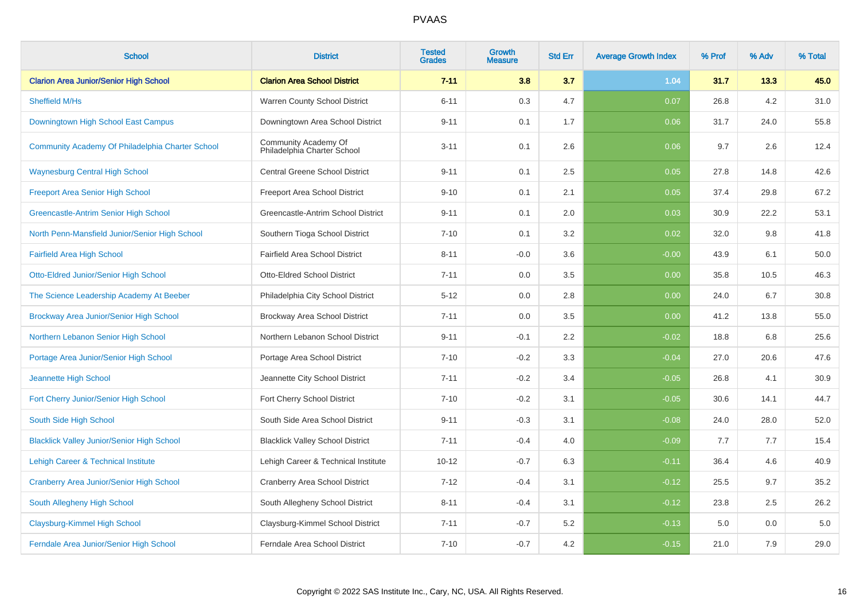| <b>School</b>                                     | <b>District</b>                                     | <b>Tested</b><br><b>Grades</b> | Growth<br><b>Measure</b> | <b>Std Err</b> | <b>Average Growth Index</b> | % Prof | % Adv | % Total |
|---------------------------------------------------|-----------------------------------------------------|--------------------------------|--------------------------|----------------|-----------------------------|--------|-------|---------|
| <b>Clarion Area Junior/Senior High School</b>     | <b>Clarion Area School District</b>                 | $7 - 11$                       | 3.8                      | 3.7            | 1.04                        | 31.7   | 13.3  | 45.0    |
| Sheffield M/Hs                                    | Warren County School District                       | $6 - 11$                       | 0.3                      | 4.7            | 0.07                        | 26.8   | 4.2   | 31.0    |
| Downingtown High School East Campus               | Downingtown Area School District                    | $9 - 11$                       | 0.1                      | 1.7            | 0.06                        | 31.7   | 24.0  | 55.8    |
| Community Academy Of Philadelphia Charter School  | Community Academy Of<br>Philadelphia Charter School | $3 - 11$                       | 0.1                      | 2.6            | 0.06                        | 9.7    | 2.6   | 12.4    |
| <b>Waynesburg Central High School</b>             | Central Greene School District                      | $9 - 11$                       | 0.1                      | 2.5            | 0.05                        | 27.8   | 14.8  | 42.6    |
| <b>Freeport Area Senior High School</b>           | Freeport Area School District                       | $9 - 10$                       | 0.1                      | 2.1            | 0.05                        | 37.4   | 29.8  | 67.2    |
| Greencastle-Antrim Senior High School             | Greencastle-Antrim School District                  | $9 - 11$                       | 0.1                      | 2.0            | 0.03                        | 30.9   | 22.2  | 53.1    |
| North Penn-Mansfield Junior/Senior High School    | Southern Tioga School District                      | $7 - 10$                       | 0.1                      | 3.2            | 0.02                        | 32.0   | 9.8   | 41.8    |
| <b>Fairfield Area High School</b>                 | Fairfield Area School District                      | $8 - 11$                       | $-0.0$                   | 3.6            | $-0.00$                     | 43.9   | 6.1   | 50.0    |
| Otto-Eldred Junior/Senior High School             | <b>Otto-Eldred School District</b>                  | $7 - 11$                       | 0.0                      | 3.5            | 0.00                        | 35.8   | 10.5  | 46.3    |
| The Science Leadership Academy At Beeber          | Philadelphia City School District                   | $5 - 12$                       | 0.0                      | 2.8            | 0.00                        | 24.0   | 6.7   | 30.8    |
| Brockway Area Junior/Senior High School           | Brockway Area School District                       | $7 - 11$                       | 0.0                      | 3.5            | 0.00                        | 41.2   | 13.8  | 55.0    |
| Northern Lebanon Senior High School               | Northern Lebanon School District                    | $9 - 11$                       | $-0.1$                   | 2.2            | $-0.02$                     | 18.8   | 6.8   | 25.6    |
| Portage Area Junior/Senior High School            | Portage Area School District                        | $7 - 10$                       | $-0.2$                   | 3.3            | $-0.04$                     | 27.0   | 20.6  | 47.6    |
| Jeannette High School                             | Jeannette City School District                      | $7 - 11$                       | $-0.2$                   | 3.4            | $-0.05$                     | 26.8   | 4.1   | 30.9    |
| Fort Cherry Junior/Senior High School             | Fort Cherry School District                         | $7 - 10$                       | $-0.2$                   | 3.1            | $-0.05$                     | 30.6   | 14.1  | 44.7    |
| South Side High School                            | South Side Area School District                     | $9 - 11$                       | $-0.3$                   | 3.1            | $-0.08$                     | 24.0   | 28.0  | 52.0    |
| <b>Blacklick Valley Junior/Senior High School</b> | <b>Blacklick Valley School District</b>             | $7 - 11$                       | $-0.4$                   | 4.0            | $-0.09$                     | 7.7    | 7.7   | 15.4    |
| Lehigh Career & Technical Institute               | Lehigh Career & Technical Institute                 | $10 - 12$                      | $-0.7$                   | 6.3            | $-0.11$                     | 36.4   | 4.6   | 40.9    |
| Cranberry Area Junior/Senior High School          | <b>Cranberry Area School District</b>               | $7 - 12$                       | $-0.4$                   | 3.1            | $-0.12$                     | 25.5   | 9.7   | 35.2    |
| South Allegheny High School                       | South Allegheny School District                     | $8 - 11$                       | $-0.4$                   | 3.1            | $-0.12$                     | 23.8   | 2.5   | 26.2    |
| Claysburg-Kimmel High School                      | Claysburg-Kimmel School District                    | $7 - 11$                       | $-0.7$                   | 5.2            | $-0.13$                     | 5.0    | 0.0   | 5.0     |
| Ferndale Area Junior/Senior High School           | Ferndale Area School District                       | $7 - 10$                       | $-0.7$                   | 4.2            | $-0.15$                     | 21.0   | 7.9   | 29.0    |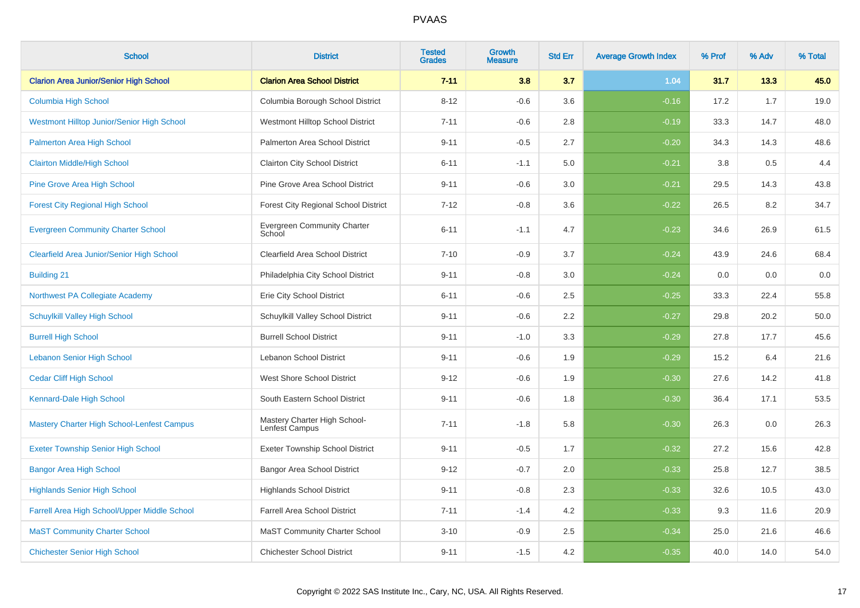| <b>School</b>                                     | <b>District</b>                                | <b>Tested</b><br><b>Grades</b> | <b>Growth</b><br><b>Measure</b> | <b>Std Err</b> | <b>Average Growth Index</b> | % Prof | % Adv | % Total |
|---------------------------------------------------|------------------------------------------------|--------------------------------|---------------------------------|----------------|-----------------------------|--------|-------|---------|
| <b>Clarion Area Junior/Senior High School</b>     | <b>Clarion Area School District</b>            | $7 - 11$                       | 3.8                             | 3.7            | 1.04                        | 31.7   | 13.3  | 45.0    |
| Columbia High School                              | Columbia Borough School District               | $8 - 12$                       | $-0.6$                          | 3.6            | $-0.16$                     | 17.2   | 1.7   | 19.0    |
| Westmont Hilltop Junior/Senior High School        | Westmont Hilltop School District               | $7 - 11$                       | $-0.6$                          | 2.8            | $-0.19$                     | 33.3   | 14.7  | 48.0    |
| <b>Palmerton Area High School</b>                 | Palmerton Area School District                 | $9 - 11$                       | $-0.5$                          | 2.7            | $-0.20$                     | 34.3   | 14.3  | 48.6    |
| <b>Clairton Middle/High School</b>                | Clairton City School District                  | $6 - 11$                       | $-1.1$                          | 5.0            | $-0.21$                     | 3.8    | 0.5   | 4.4     |
| <b>Pine Grove Area High School</b>                | Pine Grove Area School District                | $9 - 11$                       | $-0.6$                          | 3.0            | $-0.21$                     | 29.5   | 14.3  | 43.8    |
| <b>Forest City Regional High School</b>           | <b>Forest City Regional School District</b>    | $7 - 12$                       | $-0.8$                          | 3.6            | $-0.22$                     | 26.5   | 8.2   | 34.7    |
| <b>Evergreen Community Charter School</b>         | Evergreen Community Charter<br>School          | $6 - 11$                       | $-1.1$                          | 4.7            | $-0.23$                     | 34.6   | 26.9  | 61.5    |
| <b>Clearfield Area Junior/Senior High School</b>  | Clearfield Area School District                | $7 - 10$                       | $-0.9$                          | 3.7            | $-0.24$                     | 43.9   | 24.6  | 68.4    |
| <b>Building 21</b>                                | Philadelphia City School District              | $9 - 11$                       | $-0.8$                          | 3.0            | $-0.24$                     | 0.0    | 0.0   | $0.0\,$ |
| Northwest PA Collegiate Academy                   | Erie City School District                      | $6 - 11$                       | $-0.6$                          | 2.5            | $-0.25$                     | 33.3   | 22.4  | 55.8    |
| <b>Schuylkill Valley High School</b>              | Schuylkill Valley School District              | $9 - 11$                       | $-0.6$                          | 2.2            | $-0.27$                     | 29.8   | 20.2  | 50.0    |
| <b>Burrell High School</b>                        | <b>Burrell School District</b>                 | $9 - 11$                       | $-1.0$                          | 3.3            | $-0.29$                     | 27.8   | 17.7  | 45.6    |
| <b>Lebanon Senior High School</b>                 | Lebanon School District                        | $9 - 11$                       | $-0.6$                          | 1.9            | $-0.29$                     | 15.2   | 6.4   | 21.6    |
| <b>Cedar Cliff High School</b>                    | West Shore School District                     | $9 - 12$                       | $-0.6$                          | 1.9            | $-0.30$                     | 27.6   | 14.2  | 41.8    |
| Kennard-Dale High School                          | South Eastern School District                  | $9 - 11$                       | $-0.6$                          | 1.8            | $-0.30$                     | 36.4   | 17.1  | 53.5    |
| <b>Mastery Charter High School-Lenfest Campus</b> | Mastery Charter High School-<br>Lenfest Campus | $7 - 11$                       | $-1.8$                          | 5.8            | $-0.30$                     | 26.3   | 0.0   | 26.3    |
| <b>Exeter Township Senior High School</b>         | <b>Exeter Township School District</b>         | $9 - 11$                       | $-0.5$                          | 1.7            | $-0.32$                     | 27.2   | 15.6  | 42.8    |
| <b>Bangor Area High School</b>                    | <b>Bangor Area School District</b>             | $9 - 12$                       | $-0.7$                          | 2.0            | $-0.33$                     | 25.8   | 12.7  | 38.5    |
| <b>Highlands Senior High School</b>               | <b>Highlands School District</b>               | $9 - 11$                       | $-0.8$                          | 2.3            | $-0.33$                     | 32.6   | 10.5  | 43.0    |
| Farrell Area High School/Upper Middle School      | Farrell Area School District                   | $7 - 11$                       | $-1.4$                          | 4.2            | $-0.33$                     | 9.3    | 11.6  | 20.9    |
| <b>MaST Community Charter School</b>              | <b>MaST Community Charter School</b>           | $3 - 10$                       | $-0.9$                          | 2.5            | $-0.34$                     | 25.0   | 21.6  | 46.6    |
| <b>Chichester Senior High School</b>              | <b>Chichester School District</b>              | $9 - 11$                       | $-1.5$                          | 4.2            | $-0.35$                     | 40.0   | 14.0  | 54.0    |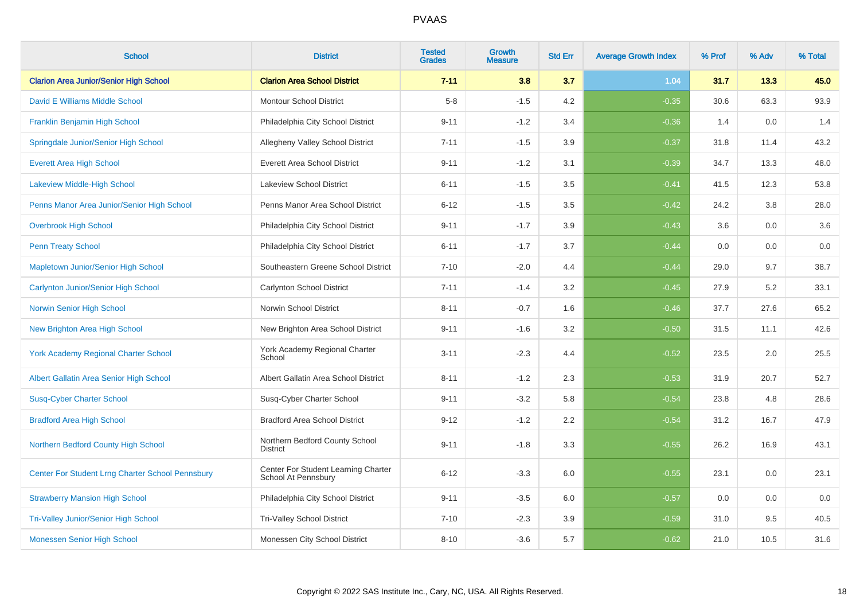| <b>School</b>                                           | <b>District</b>                                            | <b>Tested</b><br><b>Grades</b> | <b>Growth</b><br><b>Measure</b> | <b>Std Err</b> | <b>Average Growth Index</b> | % Prof | % Adv | % Total |
|---------------------------------------------------------|------------------------------------------------------------|--------------------------------|---------------------------------|----------------|-----------------------------|--------|-------|---------|
| <b>Clarion Area Junior/Senior High School</b>           | <b>Clarion Area School District</b>                        | $7 - 11$                       | 3.8                             | 3.7            | 1.04                        | 31.7   | 13.3  | 45.0    |
| David E Williams Middle School                          | <b>Montour School District</b>                             | $5-8$                          | $-1.5$                          | 4.2            | $-0.35$                     | 30.6   | 63.3  | 93.9    |
| Franklin Benjamin High School                           | Philadelphia City School District                          | $9 - 11$                       | $-1.2$                          | 3.4            | $-0.36$                     | 1.4    | 0.0   | 1.4     |
| Springdale Junior/Senior High School                    | Allegheny Valley School District                           | $7 - 11$                       | $-1.5$                          | 3.9            | $-0.37$                     | 31.8   | 11.4  | 43.2    |
| <b>Everett Area High School</b>                         | <b>Everett Area School District</b>                        | $9 - 11$                       | $-1.2$                          | 3.1            | $-0.39$                     | 34.7   | 13.3  | 48.0    |
| Lakeview Middle-High School                             | <b>Lakeview School District</b>                            | $6 - 11$                       | $-1.5$                          | 3.5            | $-0.41$                     | 41.5   | 12.3  | 53.8    |
| Penns Manor Area Junior/Senior High School              | Penns Manor Area School District                           | $6 - 12$                       | $-1.5$                          | 3.5            | $-0.42$                     | 24.2   | 3.8   | 28.0    |
| <b>Overbrook High School</b>                            | Philadelphia City School District                          | $9 - 11$                       | $-1.7$                          | 3.9            | $-0.43$                     | 3.6    | 0.0   | 3.6     |
| <b>Penn Treaty School</b>                               | Philadelphia City School District                          | $6 - 11$                       | $-1.7$                          | 3.7            | $-0.44$                     | 0.0    | 0.0   | $0.0\,$ |
| Mapletown Junior/Senior High School                     | Southeastern Greene School District                        | $7 - 10$                       | $-2.0$                          | 4.4            | $-0.44$                     | 29.0   | 9.7   | 38.7    |
| Carlynton Junior/Senior High School                     | Carlynton School District                                  | $7 - 11$                       | $-1.4$                          | 3.2            | $-0.45$                     | 27.9   | 5.2   | 33.1    |
| Norwin Senior High School                               | Norwin School District                                     | $8 - 11$                       | $-0.7$                          | 1.6            | $-0.46$                     | 37.7   | 27.6  | 65.2    |
| <b>New Brighton Area High School</b>                    | New Brighton Area School District                          | $9 - 11$                       | $-1.6$                          | 3.2            | $-0.50$                     | 31.5   | 11.1  | 42.6    |
| <b>York Academy Regional Charter School</b>             | York Academy Regional Charter<br>School                    | $3 - 11$                       | $-2.3$                          | 4.4            | $-0.52$                     | 23.5   | 2.0   | 25.5    |
| Albert Gallatin Area Senior High School                 | Albert Gallatin Area School District                       | $8 - 11$                       | $-1.2$                          | 2.3            | $-0.53$                     | 31.9   | 20.7  | 52.7    |
| <b>Susq-Cyber Charter School</b>                        | Susq-Cyber Charter School                                  | $9 - 11$                       | $-3.2$                          | 5.8            | $-0.54$                     | 23.8   | 4.8   | 28.6    |
| <b>Bradford Area High School</b>                        | <b>Bradford Area School District</b>                       | $9 - 12$                       | $-1.2$                          | 2.2            | $-0.54$                     | 31.2   | 16.7  | 47.9    |
| Northern Bedford County High School                     | Northern Bedford County School<br><b>District</b>          | $9 - 11$                       | $-1.8$                          | 3.3            | $-0.55$                     | 26.2   | 16.9  | 43.1    |
| <b>Center For Student Lrng Charter School Pennsbury</b> | Center For Student Learning Charter<br>School At Pennsbury | $6 - 12$                       | $-3.3$                          | 6.0            | $-0.55$                     | 23.1   | 0.0   | 23.1    |
| <b>Strawberry Mansion High School</b>                   | Philadelphia City School District                          | $9 - 11$                       | $-3.5$                          | 6.0            | $-0.57$                     | 0.0    | 0.0   | 0.0     |
| <b>Tri-Valley Junior/Senior High School</b>             | <b>Tri-Valley School District</b>                          | $7 - 10$                       | $-2.3$                          | 3.9            | $-0.59$                     | 31.0   | 9.5   | 40.5    |
| Monessen Senior High School                             | Monessen City School District                              | $8 - 10$                       | $-3.6$                          | 5.7            | $-0.62$                     | 21.0   | 10.5  | 31.6    |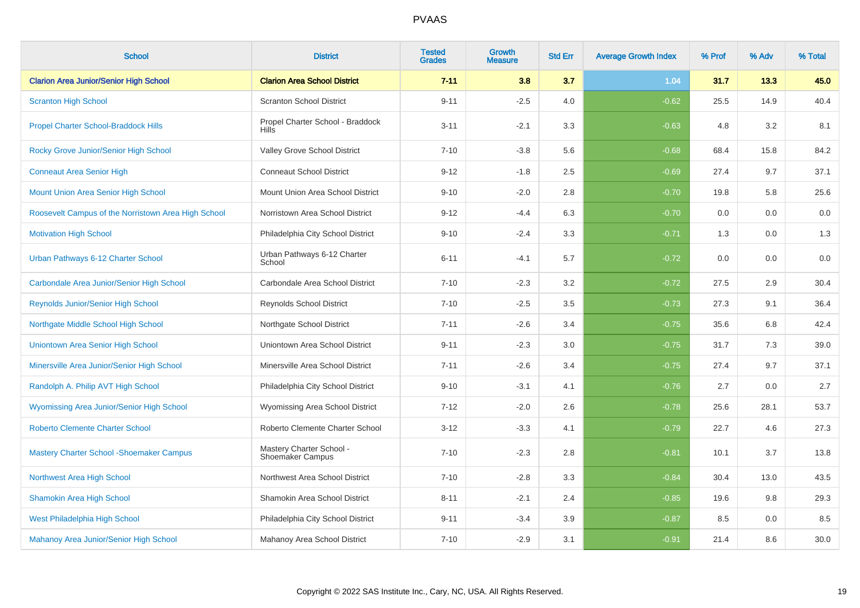| <b>School</b>                                       | <b>District</b>                                     | <b>Tested</b><br><b>Grades</b> | <b>Growth</b><br><b>Measure</b> | <b>Std Err</b> | <b>Average Growth Index</b> | % Prof | % Adv | % Total |
|-----------------------------------------------------|-----------------------------------------------------|--------------------------------|---------------------------------|----------------|-----------------------------|--------|-------|---------|
| <b>Clarion Area Junior/Senior High School</b>       | <b>Clarion Area School District</b>                 | $7 - 11$                       | 3.8                             | 3.7            | 1.04                        | 31.7   | 13.3  | 45.0    |
| <b>Scranton High School</b>                         | <b>Scranton School District</b>                     | $9 - 11$                       | $-2.5$                          | 4.0            | $-0.62$                     | 25.5   | 14.9  | 40.4    |
| <b>Propel Charter School-Braddock Hills</b>         | Propel Charter School - Braddock<br>Hills           | $3 - 11$                       | $-2.1$                          | 3.3            | $-0.63$                     | 4.8    | 3.2   | 8.1     |
| Rocky Grove Junior/Senior High School               | Valley Grove School District                        | $7 - 10$                       | $-3.8$                          | 5.6            | $-0.68$                     | 68.4   | 15.8  | 84.2    |
| <b>Conneaut Area Senior High</b>                    | <b>Conneaut School District</b>                     | $9 - 12$                       | $-1.8$                          | 2.5            | $-0.69$                     | 27.4   | 9.7   | 37.1    |
| Mount Union Area Senior High School                 | Mount Union Area School District                    | $9 - 10$                       | $-2.0$                          | 2.8            | $-0.70$                     | 19.8   | 5.8   | 25.6    |
| Roosevelt Campus of the Norristown Area High School | Norristown Area School District                     | $9 - 12$                       | $-4.4$                          | 6.3            | $-0.70$                     | 0.0    | 0.0   | 0.0     |
| <b>Motivation High School</b>                       | Philadelphia City School District                   | $9 - 10$                       | $-2.4$                          | 3.3            | $-0.71$                     | 1.3    | 0.0   | 1.3     |
| Urban Pathways 6-12 Charter School                  | Urban Pathways 6-12 Charter<br>School               | $6 - 11$                       | $-4.1$                          | 5.7            | $-0.72$                     | 0.0    | 0.0   | 0.0     |
| Carbondale Area Junior/Senior High School           | Carbondale Area School District                     | $7 - 10$                       | $-2.3$                          | 3.2            | $-0.72$                     | 27.5   | 2.9   | 30.4    |
| Reynolds Junior/Senior High School                  | Reynolds School District                            | $7 - 10$                       | $-2.5$                          | 3.5            | $-0.73$                     | 27.3   | 9.1   | 36.4    |
| Northgate Middle School High School                 | Northgate School District                           | $7 - 11$                       | $-2.6$                          | 3.4            | $-0.75$                     | 35.6   | 6.8   | 42.4    |
| Uniontown Area Senior High School                   | Uniontown Area School District                      | $9 - 11$                       | $-2.3$                          | 3.0            | $-0.75$                     | 31.7   | 7.3   | 39.0    |
| Minersville Area Junior/Senior High School          | Minersville Area School District                    | $7 - 11$                       | $-2.6$                          | 3.4            | $-0.75$                     | 27.4   | 9.7   | 37.1    |
| Randolph A. Philip AVT High School                  | Philadelphia City School District                   | $9 - 10$                       | $-3.1$                          | 4.1            | $-0.76$                     | 2.7    | 0.0   | 2.7     |
| Wyomissing Area Junior/Senior High School           | Wyomissing Area School District                     | $7 - 12$                       | $-2.0$                          | 2.6            | $-0.78$                     | 25.6   | 28.1  | 53.7    |
| <b>Roberto Clemente Charter School</b>              | Roberto Clemente Charter School                     | $3 - 12$                       | $-3.3$                          | 4.1            | $-0.79$                     | 22.7   | 4.6   | 27.3    |
| <b>Mastery Charter School - Shoemaker Campus</b>    | Mastery Charter School -<br><b>Shoemaker Campus</b> | $7 - 10$                       | $-2.3$                          | 2.8            | $-0.81$                     | 10.1   | 3.7   | 13.8    |
| Northwest Area High School                          | Northwest Area School District                      | $7 - 10$                       | $-2.8$                          | 3.3            | $-0.84$                     | 30.4   | 13.0  | 43.5    |
| <b>Shamokin Area High School</b>                    | Shamokin Area School District                       | $8 - 11$                       | $-2.1$                          | 2.4            | $-0.85$                     | 19.6   | 9.8   | 29.3    |
| West Philadelphia High School                       | Philadelphia City School District                   | $9 - 11$                       | $-3.4$                          | 3.9            | $-0.87$                     | 8.5    | 0.0   | 8.5     |
| Mahanoy Area Junior/Senior High School              | Mahanoy Area School District                        | $7 - 10$                       | $-2.9$                          | 3.1            | $-0.91$                     | 21.4   | 8.6   | 30.0    |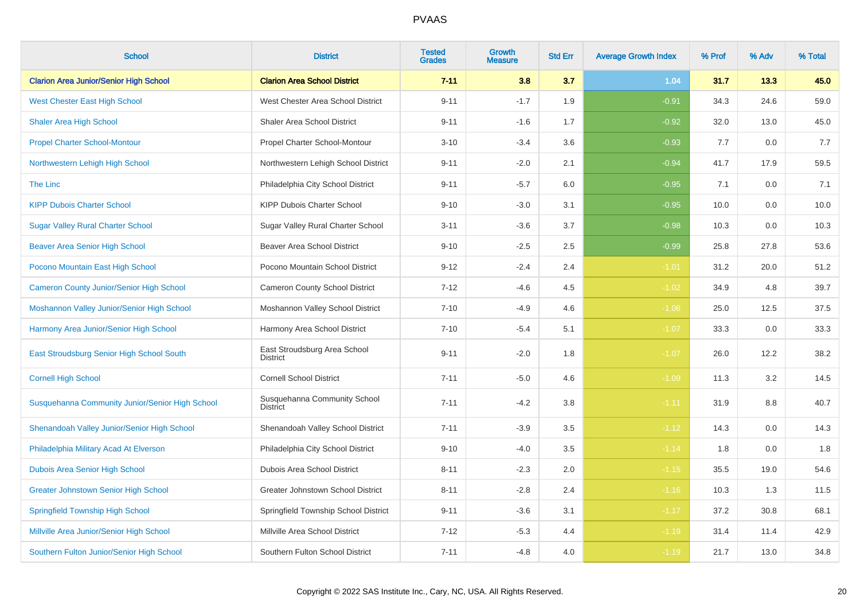| <b>School</b>                                   | <b>District</b>                                 | <b>Tested</b><br><b>Grades</b> | <b>Growth</b><br><b>Measure</b> | <b>Std Err</b> | <b>Average Growth Index</b> | % Prof | % Adv | % Total |
|-------------------------------------------------|-------------------------------------------------|--------------------------------|---------------------------------|----------------|-----------------------------|--------|-------|---------|
| <b>Clarion Area Junior/Senior High School</b>   | <b>Clarion Area School District</b>             | $7 - 11$                       | 3.8                             | 3.7            | 1.04                        | 31.7   | 13.3  | 45.0    |
| <b>West Chester East High School</b>            | West Chester Area School District               | $9 - 11$                       | $-1.7$                          | 1.9            | $-0.91$                     | 34.3   | 24.6  | 59.0    |
| <b>Shaler Area High School</b>                  | Shaler Area School District                     | $9 - 11$                       | $-1.6$                          | 1.7            | $-0.92$                     | 32.0   | 13.0  | 45.0    |
| <b>Propel Charter School-Montour</b>            | Propel Charter School-Montour                   | $3 - 10$                       | $-3.4$                          | 3.6            | $-0.93$                     | 7.7    | 0.0   | 7.7     |
| Northwestern Lehigh High School                 | Northwestern Lehigh School District             | $9 - 11$                       | $-2.0$                          | 2.1            | $-0.94$                     | 41.7   | 17.9  | 59.5    |
| The Linc                                        | Philadelphia City School District               | $9 - 11$                       | $-5.7$                          | 6.0            | $-0.95$                     | 7.1    | 0.0   | 7.1     |
| <b>KIPP Dubois Charter School</b>               | KIPP Dubois Charter School                      | $9 - 10$                       | $-3.0$                          | 3.1            | $-0.95$                     | 10.0   | 0.0   | 10.0    |
| <b>Sugar Valley Rural Charter School</b>        | Sugar Valley Rural Charter School               | $3 - 11$                       | $-3.6$                          | 3.7            | $-0.98$                     | 10.3   | 0.0   | 10.3    |
| <b>Beaver Area Senior High School</b>           | <b>Beaver Area School District</b>              | $9 - 10$                       | $-2.5$                          | 2.5            | $-0.99$                     | 25.8   | 27.8  | 53.6    |
| Pocono Mountain East High School                | Pocono Mountain School District                 | $9 - 12$                       | $-2.4$                          | 2.4            | $-1.01$                     | 31.2   | 20.0  | 51.2    |
| <b>Cameron County Junior/Senior High School</b> | <b>Cameron County School District</b>           | $7 - 12$                       | $-4.6$                          | 4.5            | $-1.02$                     | 34.9   | 4.8   | 39.7    |
| Moshannon Valley Junior/Senior High School      | Moshannon Valley School District                | $7 - 10$                       | $-4.9$                          | 4.6            | $-1.06$                     | 25.0   | 12.5  | 37.5    |
| Harmony Area Junior/Senior High School          | Harmony Area School District                    | $7 - 10$                       | $-5.4$                          | 5.1            | $-1.07$                     | 33.3   | 0.0   | 33.3    |
| East Stroudsburg Senior High School South       | East Stroudsburg Area School<br><b>District</b> | $9 - 11$                       | $-2.0$                          | 1.8            | $-1.07$                     | 26.0   | 12.2  | 38.2    |
| <b>Cornell High School</b>                      | <b>Cornell School District</b>                  | $7 - 11$                       | $-5.0$                          | 4.6            | $-1.09$                     | 11.3   | 3.2   | 14.5    |
| Susquehanna Community Junior/Senior High School | Susquehanna Community School<br>District        | $7 - 11$                       | $-4.2$                          | 3.8            | $-1.11$                     | 31.9   | 8.8   | 40.7    |
| Shenandoah Valley Junior/Senior High School     | Shenandoah Valley School District               | $7 - 11$                       | $-3.9$                          | 3.5            | $-1.12$                     | 14.3   | 0.0   | 14.3    |
| Philadelphia Military Acad At Elverson          | Philadelphia City School District               | $9 - 10$                       | $-4.0$                          | 3.5            | $-1.14$                     | 1.8    | 0.0   | 1.8     |
| Dubois Area Senior High School                  | <b>Dubois Area School District</b>              | $8 - 11$                       | $-2.3$                          | $2.0\,$        | $-1.15$                     | 35.5   | 19.0  | 54.6    |
| <b>Greater Johnstown Senior High School</b>     | Greater Johnstown School District               | $8 - 11$                       | $-2.8$                          | 2.4            | $-1.16$                     | 10.3   | 1.3   | 11.5    |
| <b>Springfield Township High School</b>         | Springfield Township School District            | $9 - 11$                       | $-3.6$                          | 3.1            | $-1.17$                     | 37.2   | 30.8  | 68.1    |
| Millville Area Junior/Senior High School        | Millville Area School District                  | $7 - 12$                       | $-5.3$                          | 4.4            | $-1.19$                     | 31.4   | 11.4  | 42.9    |
| Southern Fulton Junior/Senior High School       | Southern Fulton School District                 | $7 - 11$                       | $-4.8$                          | 4.0            | $-1.19$                     | 21.7   | 13.0  | 34.8    |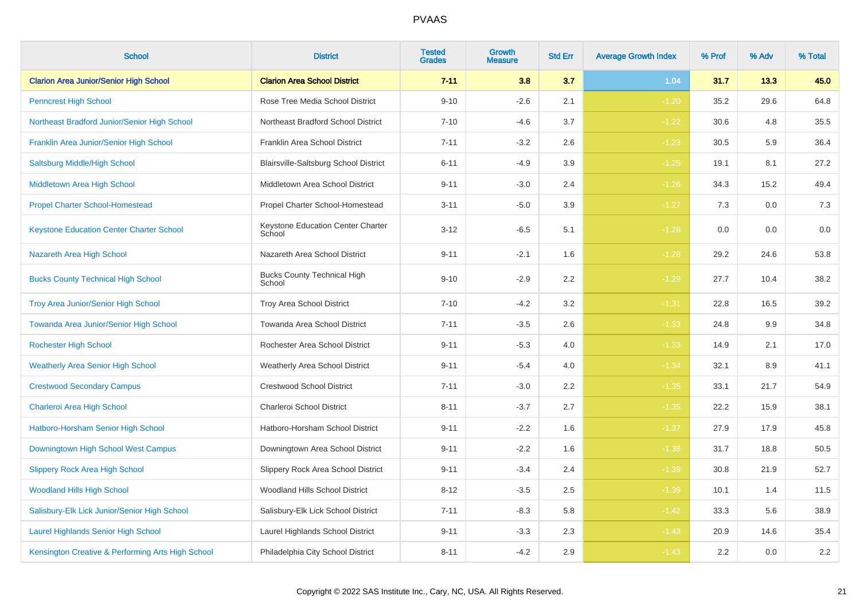| <b>School</b>                                     | <b>District</b>                              | <b>Tested</b><br><b>Grades</b> | <b>Growth</b><br><b>Measure</b> | <b>Std Err</b> | <b>Average Growth Index</b> | % Prof | % Adv | % Total |
|---------------------------------------------------|----------------------------------------------|--------------------------------|---------------------------------|----------------|-----------------------------|--------|-------|---------|
| <b>Clarion Area Junior/Senior High School</b>     | <b>Clarion Area School District</b>          | $7 - 11$                       | 3.8                             | 3.7            | 1.04                        | 31.7   | 13.3  | 45.0    |
| <b>Penncrest High School</b>                      | Rose Tree Media School District              | $9 - 10$                       | $-2.6$                          | 2.1            | $-1.20$                     | 35.2   | 29.6  | 64.8    |
| Northeast Bradford Junior/Senior High School      | Northeast Bradford School District           | $7 - 10$                       | $-4.6$                          | 3.7            | $-1.22$                     | 30.6   | 4.8   | 35.5    |
| Franklin Area Junior/Senior High School           | Franklin Area School District                | $7 - 11$                       | $-3.2$                          | 2.6            | $-1.23$                     | 30.5   | 5.9   | 36.4    |
| Saltsburg Middle/High School                      | Blairsville-Saltsburg School District        | $6 - 11$                       | $-4.9$                          | 3.9            | $-1.25$                     | 19.1   | 8.1   | 27.2    |
| Middletown Area High School                       | Middletown Area School District              | $9 - 11$                       | $-3.0$                          | 2.4            | $-1.26$                     | 34.3   | 15.2  | 49.4    |
| <b>Propel Charter School-Homestead</b>            | Propel Charter School-Homestead              | $3 - 11$                       | $-5.0$                          | 3.9            | $-1.27$                     | 7.3    | 0.0   | $7.3$   |
| <b>Keystone Education Center Charter School</b>   | Keystone Education Center Charter<br>School  | $3 - 12$                       | $-6.5$                          | 5.1            | $-1.28$                     | 0.0    | 0.0   | 0.0     |
| Nazareth Area High School                         | Nazareth Area School District                | $9 - 11$                       | $-2.1$                          | 1.6            | $-1.28$                     | 29.2   | 24.6  | 53.8    |
| <b>Bucks County Technical High School</b>         | <b>Bucks County Technical High</b><br>School | $9 - 10$                       | $-2.9$                          | 2.2            | $-1.29$                     | 27.7   | 10.4  | 38.2    |
| <b>Troy Area Junior/Senior High School</b>        | Troy Area School District                    | $7 - 10$                       | $-4.2$                          | 3.2            | $-1.31$                     | 22.8   | 16.5  | 39.2    |
| Towanda Area Junior/Senior High School            | Towanda Area School District                 | $7 - 11$                       | $-3.5$                          | 2.6            | $-1.33$                     | 24.8   | 9.9   | 34.8    |
| <b>Rochester High School</b>                      | Rochester Area School District               | $9 - 11$                       | $-5.3$                          | 4.0            | $-1.33$                     | 14.9   | 2.1   | 17.0    |
| <b>Weatherly Area Senior High School</b>          | <b>Weatherly Area School District</b>        | $9 - 11$                       | $-5.4$                          | 4.0            | $-1.34$                     | 32.1   | 8.9   | 41.1    |
| <b>Crestwood Secondary Campus</b>                 | <b>Crestwood School District</b>             | $7 - 11$                       | $-3.0$                          | 2.2            | $-1.35$                     | 33.1   | 21.7  | 54.9    |
| Charleroi Area High School                        | Charleroi School District                    | $8 - 11$                       | $-3.7$                          | 2.7            | $-1.35$                     | 22.2   | 15.9  | 38.1    |
| Hatboro-Horsham Senior High School                | Hatboro-Horsham School District              | $9 - 11$                       | $-2.2$                          | 1.6            | $-1.37$                     | 27.9   | 17.9  | 45.8    |
| Downingtown High School West Campus               | Downingtown Area School District             | $9 - 11$                       | $-2.2$                          | 1.6            | $-1.38$                     | 31.7   | 18.8  | 50.5    |
| <b>Slippery Rock Area High School</b>             | Slippery Rock Area School District           | $9 - 11$                       | $-3.4$                          | 2.4            | $-1.39$                     | 30.8   | 21.9  | 52.7    |
| <b>Woodland Hills High School</b>                 | Woodland Hills School District               | $8 - 12$                       | $-3.5$                          | 2.5            | $-1.39$                     | 10.1   | 1.4   | 11.5    |
| Salisbury-Elk Lick Junior/Senior High School      | Salisbury-Elk Lick School District           | $7 - 11$                       | $-8.3$                          | 5.8            | $-1.42$                     | 33.3   | 5.6   | 38.9    |
| <b>Laurel Highlands Senior High School</b>        | Laurel Highlands School District             | $9 - 11$                       | $-3.3$                          | 2.3            | $-1.43$                     | 20.9   | 14.6  | 35.4    |
| Kensington Creative & Performing Arts High School | Philadelphia City School District            | $8 - 11$                       | $-4.2$                          | 2.9            | $-1.43$                     | 2.2    | 0.0   | $2.2\,$ |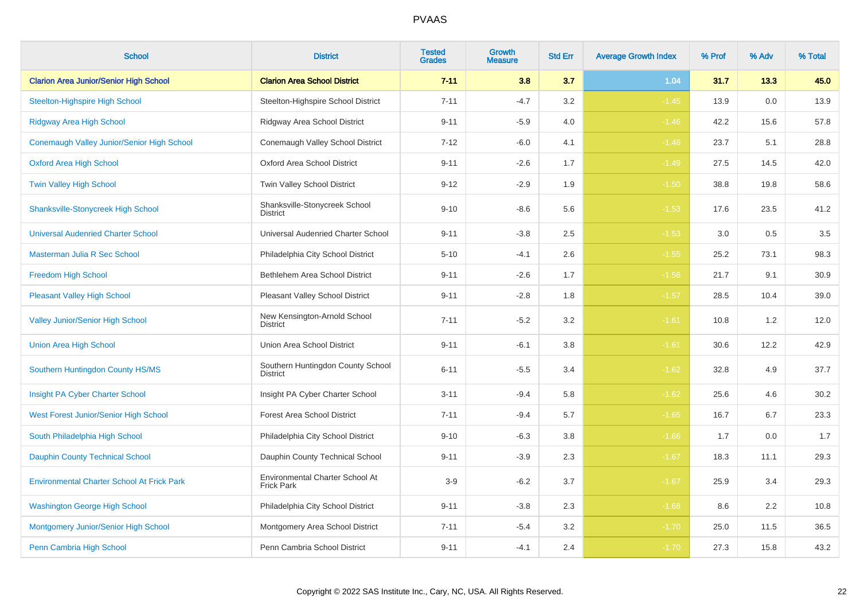| <b>School</b>                                     | <b>District</b>                                      | <b>Tested</b><br><b>Grades</b> | <b>Growth</b><br><b>Measure</b> | <b>Std Err</b> | <b>Average Growth Index</b> | % Prof | % Adv | % Total |
|---------------------------------------------------|------------------------------------------------------|--------------------------------|---------------------------------|----------------|-----------------------------|--------|-------|---------|
| <b>Clarion Area Junior/Senior High School</b>     | <b>Clarion Area School District</b>                  | $7 - 11$                       | 3.8                             | 3.7            | 1.04                        | 31.7   | 13.3  | 45.0    |
| <b>Steelton-Highspire High School</b>             | Steelton-Highspire School District                   | $7 - 11$                       | $-4.7$                          | 3.2            | $-1.45$                     | 13.9   | 0.0   | 13.9    |
| <b>Ridgway Area High School</b>                   | Ridgway Area School District                         | $9 - 11$                       | $-5.9$                          | 4.0            | $-1.46$                     | 42.2   | 15.6  | 57.8    |
| Conemaugh Valley Junior/Senior High School        | Conemaugh Valley School District                     | $7 - 12$                       | $-6.0$                          | 4.1            | $-1.46$                     | 23.7   | 5.1   | 28.8    |
| <b>Oxford Area High School</b>                    | Oxford Area School District                          | $9 - 11$                       | $-2.6$                          | 1.7            | $-1.49$                     | 27.5   | 14.5  | 42.0    |
| <b>Twin Valley High School</b>                    | Twin Valley School District                          | $9 - 12$                       | $-2.9$                          | 1.9            | $-1.50$                     | 38.8   | 19.8  | 58.6    |
| Shanksville-Stonycreek High School                | Shanksville-Stonycreek School<br><b>District</b>     | $9 - 10$                       | $-8.6$                          | 5.6            | $-1.53$                     | 17.6   | 23.5  | 41.2    |
| <b>Universal Audenried Charter School</b>         | Universal Audenried Charter School                   | $9 - 11$                       | $-3.8$                          | 2.5            | $-1.53$                     | 3.0    | 0.5   | 3.5     |
| Masterman Julia R Sec School                      | Philadelphia City School District                    | $5 - 10$                       | $-4.1$                          | 2.6            | $-1.55$                     | 25.2   | 73.1  | 98.3    |
| <b>Freedom High School</b>                        | Bethlehem Area School District                       | $9 - 11$                       | $-2.6$                          | 1.7            | $-1.56$                     | 21.7   | 9.1   | 30.9    |
| <b>Pleasant Valley High School</b>                | Pleasant Valley School District                      | $9 - 11$                       | $-2.8$                          | 1.8            | $-1.57$                     | 28.5   | 10.4  | 39.0    |
| <b>Valley Junior/Senior High School</b>           | New Kensington-Arnold School<br><b>District</b>      | $7 - 11$                       | $-5.2$                          | 3.2            | $-1.61$                     | 10.8   | 1.2   | 12.0    |
| <b>Union Area High School</b>                     | Union Area School District                           | $9 - 11$                       | $-6.1$                          | 3.8            | $-1.61$                     | 30.6   | 12.2  | 42.9    |
| Southern Huntingdon County HS/MS                  | Southern Huntingdon County School<br>District        | $6 - 11$                       | $-5.5$                          | 3.4            | $-1.62$                     | 32.8   | 4.9   | 37.7    |
| Insight PA Cyber Charter School                   | Insight PA Cyber Charter School                      | $3 - 11$                       | $-9.4$                          | 5.8            | $-1.62$                     | 25.6   | 4.6   | 30.2    |
| West Forest Junior/Senior High School             | Forest Area School District                          | $7 - 11$                       | $-9.4$                          | 5.7            | $-1.65$                     | 16.7   | 6.7   | 23.3    |
| South Philadelphia High School                    | Philadelphia City School District                    | $9 - 10$                       | $-6.3$                          | 3.8            | $-1.66$                     | 1.7    | 0.0   | 1.7     |
| <b>Dauphin County Technical School</b>            | Dauphin County Technical School                      | $9 - 11$                       | $-3.9$                          | 2.3            | $-1.67$                     | 18.3   | 11.1  | 29.3    |
| <b>Environmental Charter School At Frick Park</b> | Environmental Charter School At<br><b>Frick Park</b> | $3-9$                          | $-6.2$                          | 3.7            | $-1.67$                     | 25.9   | 3.4   | 29.3    |
| <b>Washington George High School</b>              | Philadelphia City School District                    | $9 - 11$                       | $-3.8$                          | 2.3            | $-1.68$                     | 8.6    | 2.2   | 10.8    |
| Montgomery Junior/Senior High School              | Montgomery Area School District                      | $7 - 11$                       | $-5.4$                          | 3.2            | $-1.70$                     | 25.0   | 11.5  | 36.5    |
| Penn Cambria High School                          | Penn Cambria School District                         | $9 - 11$                       | $-4.1$                          | 2.4            | $-1.70$                     | 27.3   | 15.8  | 43.2    |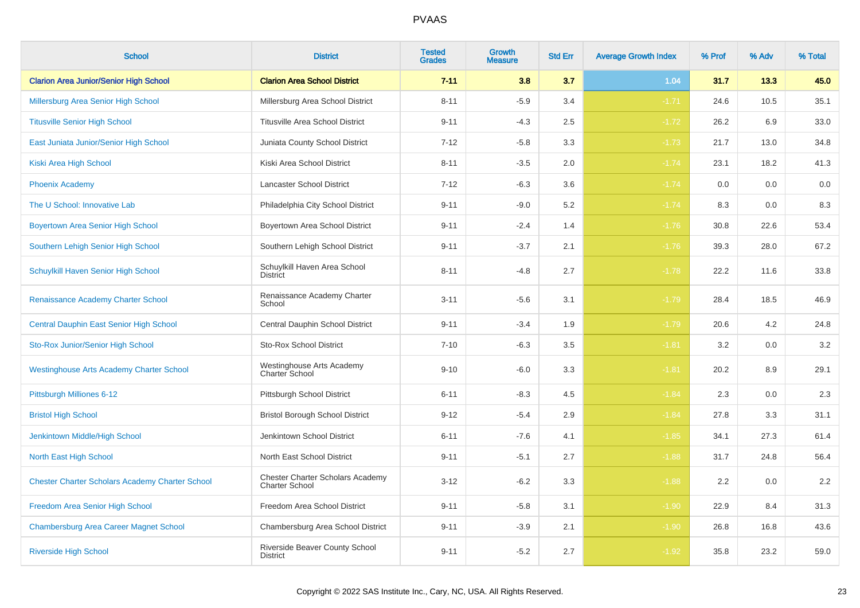| <b>School</b>                                          | <b>District</b>                                           | <b>Tested</b><br><b>Grades</b> | <b>Growth</b><br><b>Measure</b> | <b>Std Err</b> | <b>Average Growth Index</b> | % Prof | % Adv | % Total |
|--------------------------------------------------------|-----------------------------------------------------------|--------------------------------|---------------------------------|----------------|-----------------------------|--------|-------|---------|
| <b>Clarion Area Junior/Senior High School</b>          | <b>Clarion Area School District</b>                       | $7 - 11$                       | 3.8                             | 3.7            | 1.04                        | 31.7   | 13.3  | 45.0    |
| Millersburg Area Senior High School                    | Millersburg Area School District                          | $8 - 11$                       | $-5.9$                          | 3.4            | $-1.71$                     | 24.6   | 10.5  | 35.1    |
| <b>Titusville Senior High School</b>                   | <b>Titusville Area School District</b>                    | $9 - 11$                       | $-4.3$                          | 2.5            | $-1.72$                     | 26.2   | 6.9   | 33.0    |
| East Juniata Junior/Senior High School                 | Juniata County School District                            | $7 - 12$                       | $-5.8$                          | 3.3            | $-1.73$                     | 21.7   | 13.0  | 34.8    |
| Kiski Area High School                                 | Kiski Area School District                                | $8 - 11$                       | $-3.5$                          | 2.0            | $-1.74$                     | 23.1   | 18.2  | 41.3    |
| <b>Phoenix Academy</b>                                 | Lancaster School District                                 | $7 - 12$                       | $-6.3$                          | 3.6            | $-1.74$                     | 0.0    | 0.0   | 0.0     |
| The U School: Innovative Lab                           | Philadelphia City School District                         | $9 - 11$                       | $-9.0$                          | 5.2            | $-1.74$                     | 8.3    | 0.0   | 8.3     |
| <b>Boyertown Area Senior High School</b>               | Boyertown Area School District                            | $9 - 11$                       | $-2.4$                          | 1.4            | $-1.76$                     | 30.8   | 22.6  | 53.4    |
| Southern Lehigh Senior High School                     | Southern Lehigh School District                           | $9 - 11$                       | $-3.7$                          | 2.1            | $-1.76$                     | 39.3   | 28.0  | 67.2    |
| Schuylkill Haven Senior High School                    | Schuylkill Haven Area School<br><b>District</b>           | $8 - 11$                       | $-4.8$                          | 2.7            | $-1.78$                     | 22.2   | 11.6  | 33.8    |
| <b>Renaissance Academy Charter School</b>              | Renaissance Academy Charter<br>School                     | $3 - 11$                       | $-5.6$                          | 3.1            | $-1.79$                     | 28.4   | 18.5  | 46.9    |
| Central Dauphin East Senior High School                | Central Dauphin School District                           | $9 - 11$                       | $-3.4$                          | 1.9            | $-1.79$                     | 20.6   | 4.2   | 24.8    |
| Sto-Rox Junior/Senior High School                      | <b>Sto-Rox School District</b>                            | $7 - 10$                       | $-6.3$                          | 3.5            | $-1.81$                     | 3.2    | 0.0   | 3.2     |
| <b>Westinghouse Arts Academy Charter School</b>        | Westinghouse Arts Academy<br>Charter School               | $9 - 10$                       | $-6.0$                          | 3.3            | $-1.81$                     | 20.2   | 8.9   | 29.1    |
| Pittsburgh Milliones 6-12                              | Pittsburgh School District                                | $6 - 11$                       | $-8.3$                          | 4.5            | $-1.84$                     | 2.3    | 0.0   | $2.3\,$ |
| <b>Bristol High School</b>                             | <b>Bristol Borough School District</b>                    | $9 - 12$                       | $-5.4$                          | 2.9            | $-1.84$                     | 27.8   | 3.3   | 31.1    |
| Jenkintown Middle/High School                          | Jenkintown School District                                | $6 - 11$                       | $-7.6$                          | 4.1            | $-1.85$                     | 34.1   | 27.3  | 61.4    |
| North East High School                                 | North East School District                                | $9 - 11$                       | $-5.1$                          | 2.7            | $-1.88$                     | 31.7   | 24.8  | 56.4    |
| <b>Chester Charter Scholars Academy Charter School</b> | <b>Chester Charter Scholars Academy</b><br>Charter School | $3 - 12$                       | $-6.2$                          | 3.3            | $-1.88$                     | 2.2    | 0.0   | 2.2     |
| Freedom Area Senior High School                        | Freedom Area School District                              | $9 - 11$                       | $-5.8$                          | 3.1            | $-1.90$                     | 22.9   | 8.4   | 31.3    |
| <b>Chambersburg Area Career Magnet School</b>          | Chambersburg Area School District                         | $9 - 11$                       | $-3.9$                          | 2.1            | $-1.90$                     | 26.8   | 16.8  | 43.6    |
| <b>Riverside High School</b>                           | Riverside Beaver County School<br><b>District</b>         | $9 - 11$                       | $-5.2$                          | 2.7            | $-1.92$                     | 35.8   | 23.2  | 59.0    |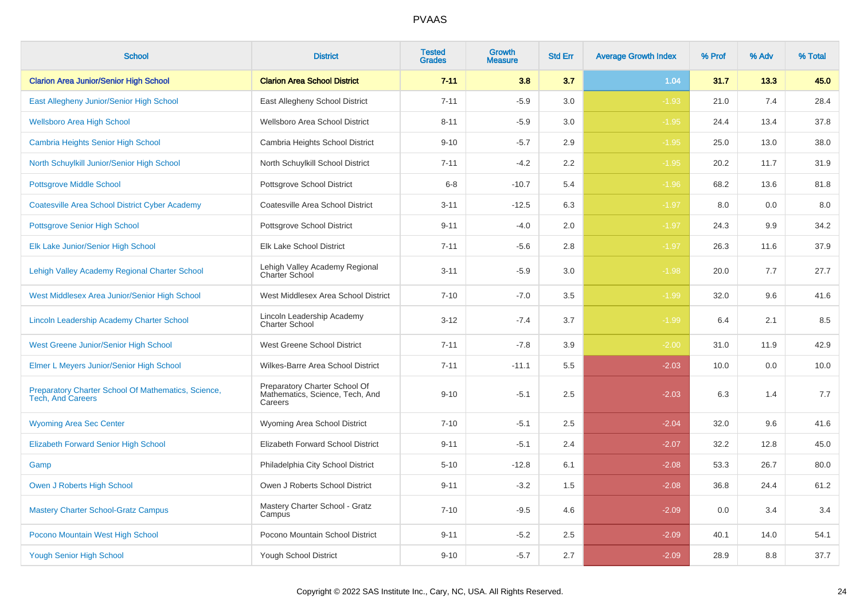| <b>School</b>                                                                   | <b>District</b>                                                             | <b>Tested</b><br><b>Grades</b> | <b>Growth</b><br><b>Measure</b> | <b>Std Err</b> | <b>Average Growth Index</b> | % Prof | % Adv | % Total |
|---------------------------------------------------------------------------------|-----------------------------------------------------------------------------|--------------------------------|---------------------------------|----------------|-----------------------------|--------|-------|---------|
| <b>Clarion Area Junior/Senior High School</b>                                   | <b>Clarion Area School District</b>                                         | $7 - 11$                       | 3.8                             | 3.7            | 1.04                        | 31.7   | 13.3  | 45.0    |
| East Allegheny Junior/Senior High School                                        | East Allegheny School District                                              | $7 - 11$                       | $-5.9$                          | 3.0            | $-1.93$                     | 21.0   | 7.4   | 28.4    |
| <b>Wellsboro Area High School</b>                                               | Wellsboro Area School District                                              | $8 - 11$                       | $-5.9$                          | 3.0            | $-1.95$                     | 24.4   | 13.4  | 37.8    |
| Cambria Heights Senior High School                                              | Cambria Heights School District                                             | $9 - 10$                       | $-5.7$                          | 2.9            | $-1.95$                     | 25.0   | 13.0  | 38.0    |
| North Schuylkill Junior/Senior High School                                      | North Schuylkill School District                                            | $7 - 11$                       | $-4.2$                          | $2.2\,$        | $-1.95$                     | 20.2   | 11.7  | 31.9    |
| <b>Pottsgrove Middle School</b>                                                 | Pottsgrove School District                                                  | $6 - 8$                        | $-10.7$                         | 5.4            | $-1.96$                     | 68.2   | 13.6  | 81.8    |
| <b>Coatesville Area School District Cyber Academy</b>                           | Coatesville Area School District                                            | $3 - 11$                       | $-12.5$                         | 6.3            | $-1.97$                     | 8.0    | 0.0   | 8.0     |
| <b>Pottsgrove Senior High School</b>                                            | Pottsgrove School District                                                  | $9 - 11$                       | $-4.0$                          | 2.0            | $-1.97$                     | 24.3   | 9.9   | 34.2    |
| Elk Lake Junior/Senior High School                                              | Elk Lake School District                                                    | $7 - 11$                       | $-5.6$                          | 2.8            | $-1.97$                     | 26.3   | 11.6  | 37.9    |
| Lehigh Valley Academy Regional Charter School                                   | Lehigh Valley Academy Regional<br>Charter School                            | $3 - 11$                       | $-5.9$                          | 3.0            | $-1.98$                     | 20.0   | 7.7   | 27.7    |
| West Middlesex Area Junior/Senior High School                                   | West Middlesex Area School District                                         | $7 - 10$                       | $-7.0$                          | 3.5            | $-1.99$                     | 32.0   | 9.6   | 41.6    |
| Lincoln Leadership Academy Charter School                                       | Lincoln Leadership Academy<br><b>Charter School</b>                         | $3 - 12$                       | $-7.4$                          | 3.7            | $-1.99$                     | 6.4    | 2.1   | 8.5     |
| <b>West Greene Junior/Senior High School</b>                                    | West Greene School District                                                 | $7 - 11$                       | $-7.8$                          | 3.9            | $-2.00$                     | 31.0   | 11.9  | 42.9    |
| Elmer L Meyers Junior/Senior High School                                        | Wilkes-Barre Area School District                                           | $7 - 11$                       | $-11.1$                         | 5.5            | $-2.03$                     | 10.0   | 0.0   | 10.0    |
| Preparatory Charter School Of Mathematics, Science,<br><b>Tech, And Careers</b> | Preparatory Charter School Of<br>Mathematics, Science, Tech, And<br>Careers | $9 - 10$                       | $-5.1$                          | 2.5            | $-2.03$                     | 6.3    | 1.4   | 7.7     |
| <b>Wyoming Area Sec Center</b>                                                  | Wyoming Area School District                                                | $7 - 10$                       | $-5.1$                          | 2.5            | $-2.04$                     | 32.0   | 9.6   | 41.6    |
| <b>Elizabeth Forward Senior High School</b>                                     | Elizabeth Forward School District                                           | $9 - 11$                       | $-5.1$                          | 2.4            | $-2.07$                     | 32.2   | 12.8  | 45.0    |
| Gamp                                                                            | Philadelphia City School District                                           | $5 - 10$                       | $-12.8$                         | 6.1            | $-2.08$                     | 53.3   | 26.7  | 80.0    |
| Owen J Roberts High School                                                      | Owen J Roberts School District                                              | $9 - 11$                       | $-3.2$                          | 1.5            | $-2.08$                     | 36.8   | 24.4  | 61.2    |
| <b>Mastery Charter School-Gratz Campus</b>                                      | Mastery Charter School - Gratz<br>Campus                                    | $7 - 10$                       | $-9.5$                          | 4.6            | $-2.09$                     | 0.0    | 3.4   | 3.4     |
| Pocono Mountain West High School                                                | Pocono Mountain School District                                             | $9 - 11$                       | $-5.2$                          | 2.5            | $-2.09$                     | 40.1   | 14.0  | 54.1    |
| <b>Yough Senior High School</b>                                                 | Yough School District                                                       | $9 - 10$                       | $-5.7$                          | 2.7            | $-2.09$                     | 28.9   | 8.8   | 37.7    |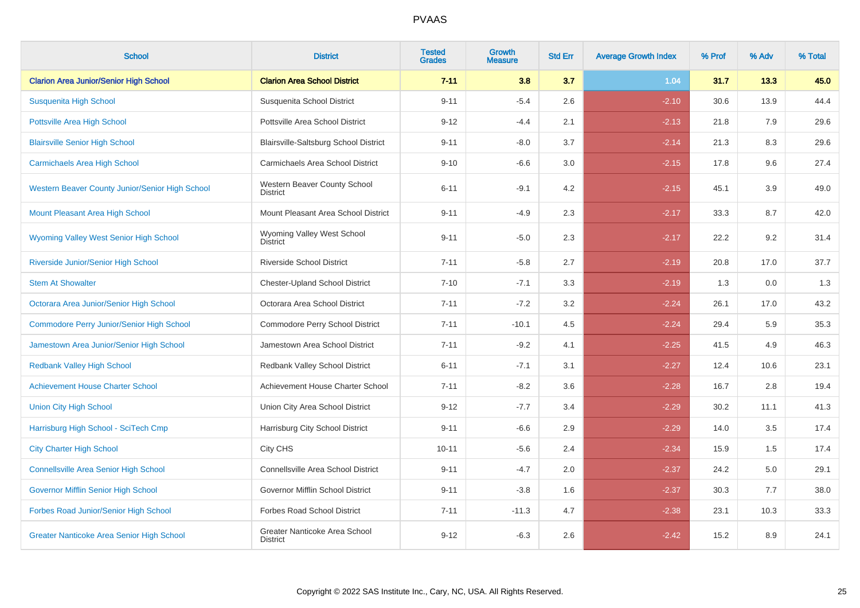| <b>School</b>                                    | <b>District</b>                                  | <b>Tested</b><br><b>Grades</b> | Growth<br><b>Measure</b> | <b>Std Err</b> | <b>Average Growth Index</b> | % Prof | % Adv | % Total |
|--------------------------------------------------|--------------------------------------------------|--------------------------------|--------------------------|----------------|-----------------------------|--------|-------|---------|
| <b>Clarion Area Junior/Senior High School</b>    | <b>Clarion Area School District</b>              | $7 - 11$                       | 3.8                      | 3.7            | 1.04                        | 31.7   | 13.3  | 45.0    |
| Susquenita High School                           | Susquenita School District                       | $9 - 11$                       | $-5.4$                   | 2.6            | $-2.10$                     | 30.6   | 13.9  | 44.4    |
| <b>Pottsville Area High School</b>               | Pottsville Area School District                  | $9 - 12$                       | $-4.4$                   | 2.1            | $-2.13$                     | 21.8   | 7.9   | 29.6    |
| <b>Blairsville Senior High School</b>            | Blairsville-Saltsburg School District            | $9 - 11$                       | $-8.0$                   | 3.7            | $-2.14$                     | 21.3   | 8.3   | 29.6    |
| <b>Carmichaels Area High School</b>              | Carmichaels Area School District                 | $9 - 10$                       | $-6.6$                   | 3.0            | $-2.15$                     | 17.8   | 9.6   | 27.4    |
| Western Beaver County Junior/Senior High School  | Western Beaver County School<br><b>District</b>  | $6 - 11$                       | $-9.1$                   | 4.2            | $-2.15$                     | 45.1   | 3.9   | 49.0    |
| Mount Pleasant Area High School                  | Mount Pleasant Area School District              | $9 - 11$                       | $-4.9$                   | 2.3            | $-2.17$                     | 33.3   | 8.7   | 42.0    |
| <b>Wyoming Valley West Senior High School</b>    | Wyoming Valley West School<br><b>District</b>    | $9 - 11$                       | $-5.0$                   | 2.3            | $-2.17$                     | 22.2   | 9.2   | 31.4    |
| Riverside Junior/Senior High School              | <b>Riverside School District</b>                 | $7 - 11$                       | $-5.8$                   | 2.7            | $-2.19$                     | 20.8   | 17.0  | 37.7    |
| <b>Stem At Showalter</b>                         | <b>Chester-Upland School District</b>            | $7 - 10$                       | $-7.1$                   | 3.3            | $-2.19$                     | 1.3    | 0.0   | 1.3     |
| Octorara Area Junior/Senior High School          | Octorara Area School District                    | $7 - 11$                       | $-7.2$                   | 3.2            | $-2.24$                     | 26.1   | 17.0  | 43.2    |
| <b>Commodore Perry Junior/Senior High School</b> | Commodore Perry School District                  | $7 - 11$                       | $-10.1$                  | 4.5            | $-2.24$                     | 29.4   | 5.9   | 35.3    |
| Jamestown Area Junior/Senior High School         | Jamestown Area School District                   | $7 - 11$                       | $-9.2$                   | 4.1            | $-2.25$                     | 41.5   | 4.9   | 46.3    |
| <b>Redbank Valley High School</b>                | Redbank Valley School District                   | $6 - 11$                       | $-7.1$                   | 3.1            | $-2.27$                     | 12.4   | 10.6  | 23.1    |
| <b>Achievement House Charter School</b>          | Achievement House Charter School                 | $7 - 11$                       | $-8.2$                   | 3.6            | $-2.28$                     | 16.7   | 2.8   | 19.4    |
| <b>Union City High School</b>                    | Union City Area School District                  | $9 - 12$                       | $-7.7$                   | 3.4            | $-2.29$                     | 30.2   | 11.1  | 41.3    |
| Harrisburg High School - SciTech Cmp             | Harrisburg City School District                  | $9 - 11$                       | $-6.6$                   | 2.9            | $-2.29$                     | 14.0   | 3.5   | 17.4    |
| <b>City Charter High School</b>                  | City CHS                                         | $10 - 11$                      | $-5.6$                   | 2.4            | $-2.34$                     | 15.9   | 1.5   | 17.4    |
| <b>Connellsville Area Senior High School</b>     | Connellsville Area School District               | $9 - 11$                       | $-4.7$                   | 2.0            | $-2.37$                     | 24.2   | 5.0   | 29.1    |
| Governor Mifflin Senior High School              | Governor Mifflin School District                 | $9 - 11$                       | $-3.8$                   | 1.6            | $-2.37$                     | 30.3   | 7.7   | 38.0    |
| Forbes Road Junior/Senior High School            | <b>Forbes Road School District</b>               | $7 - 11$                       | $-11.3$                  | 4.7            | $-2.38$                     | 23.1   | 10.3  | 33.3    |
| <b>Greater Nanticoke Area Senior High School</b> | Greater Nanticoke Area School<br><b>District</b> | $9 - 12$                       | $-6.3$                   | 2.6            | $-2.42$                     | 15.2   | 8.9   | 24.1    |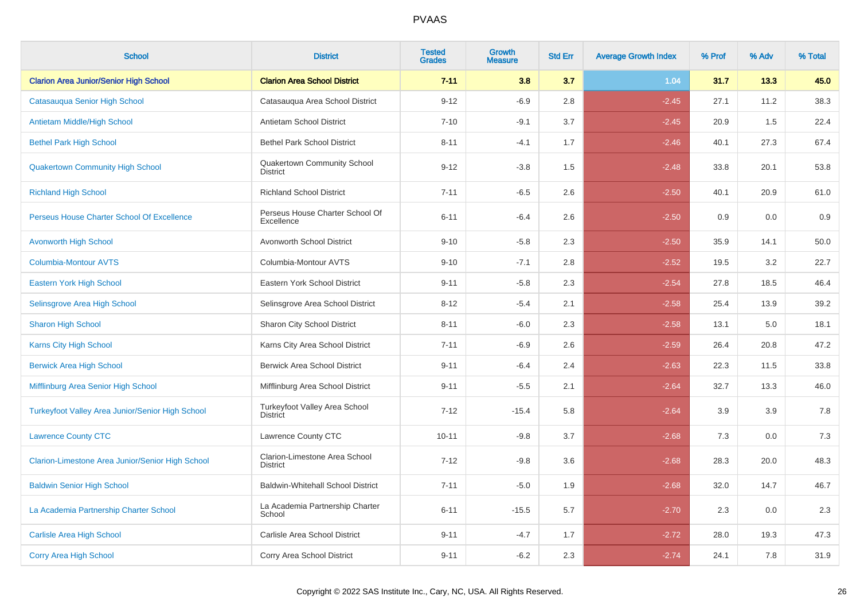| <b>School</b>                                           | <b>District</b>                                  | <b>Tested</b><br><b>Grades</b> | <b>Growth</b><br><b>Measure</b> | <b>Std Err</b> | <b>Average Growth Index</b> | % Prof | % Adv | % Total |
|---------------------------------------------------------|--------------------------------------------------|--------------------------------|---------------------------------|----------------|-----------------------------|--------|-------|---------|
| <b>Clarion Area Junior/Senior High School</b>           | <b>Clarion Area School District</b>              | $7 - 11$                       | 3.8                             | 3.7            | 1.04                        | 31.7   | 13.3  | 45.0    |
| Catasauqua Senior High School                           | Catasauqua Area School District                  | $9 - 12$                       | $-6.9$                          | 2.8            | $-2.45$                     | 27.1   | 11.2  | 38.3    |
| Antietam Middle/High School                             | Antietam School District                         | $7 - 10$                       | $-9.1$                          | 3.7            | $-2.45$                     | 20.9   | 1.5   | 22.4    |
| <b>Bethel Park High School</b>                          | <b>Bethel Park School District</b>               | $8 - 11$                       | $-4.1$                          | 1.7            | $-2.46$                     | 40.1   | 27.3  | 67.4    |
| <b>Quakertown Community High School</b>                 | Quakertown Community School<br><b>District</b>   | $9 - 12$                       | $-3.8$                          | 1.5            | $-2.48$                     | 33.8   | 20.1  | 53.8    |
| <b>Richland High School</b>                             | <b>Richland School District</b>                  | $7 - 11$                       | $-6.5$                          | 2.6            | $-2.50$                     | 40.1   | 20.9  | 61.0    |
| Perseus House Charter School Of Excellence              | Perseus House Charter School Of<br>Excellence    | $6 - 11$                       | $-6.4$                          | 2.6            | $-2.50$                     | 0.9    | 0.0   | 0.9     |
| <b>Avonworth High School</b>                            | Avonworth School District                        | $9 - 10$                       | $-5.8$                          | 2.3            | $-2.50$                     | 35.9   | 14.1  | 50.0    |
| <b>Columbia-Montour AVTS</b>                            | Columbia-Montour AVTS                            | $9 - 10$                       | $-7.1$                          | 2.8            | $-2.52$                     | 19.5   | 3.2   | 22.7    |
| <b>Eastern York High School</b>                         | Eastern York School District                     | $9 - 11$                       | $-5.8$                          | 2.3            | $-2.54$                     | 27.8   | 18.5  | 46.4    |
| Selinsgrove Area High School                            | Selinsgrove Area School District                 | $8 - 12$                       | $-5.4$                          | 2.1            | $-2.58$                     | 25.4   | 13.9  | 39.2    |
| <b>Sharon High School</b>                               | Sharon City School District                      | $8 - 11$                       | $-6.0$                          | 2.3            | $-2.58$                     | 13.1   | 5.0   | 18.1    |
| <b>Karns City High School</b>                           | Karns City Area School District                  | $7 - 11$                       | $-6.9$                          | 2.6            | $-2.59$                     | 26.4   | 20.8  | 47.2    |
| <b>Berwick Area High School</b>                         | <b>Berwick Area School District</b>              | $9 - 11$                       | $-6.4$                          | 2.4            | $-2.63$                     | 22.3   | 11.5  | 33.8    |
| Mifflinburg Area Senior High School                     | Mifflinburg Area School District                 | $9 - 11$                       | $-5.5$                          | 2.1            | $-2.64$                     | 32.7   | 13.3  | 46.0    |
| <b>Turkeyfoot Valley Area Junior/Senior High School</b> | Turkeyfoot Valley Area School<br><b>District</b> | $7 - 12$                       | $-15.4$                         | 5.8            | $-2.64$                     | 3.9    | 3.9   | 7.8     |
| <b>Lawrence County CTC</b>                              | Lawrence County CTC                              | $10 - 11$                      | $-9.8$                          | 3.7            | $-2.68$                     | 7.3    | 0.0   | 7.3     |
| Clarion-Limestone Area Junior/Senior High School        | Clarion-Limestone Area School<br><b>District</b> | $7 - 12$                       | $-9.8$                          | 3.6            | $-2.68$                     | 28.3   | 20.0  | 48.3    |
| <b>Baldwin Senior High School</b>                       | <b>Baldwin-Whitehall School District</b>         | $7 - 11$                       | $-5.0$                          | 1.9            | $-2.68$                     | 32.0   | 14.7  | 46.7    |
| La Academia Partnership Charter School                  | La Academia Partnership Charter<br>School        | $6 - 11$                       | $-15.5$                         | 5.7            | $-2.70$                     | 2.3    | 0.0   | 2.3     |
| <b>Carlisle Area High School</b>                        | Carlisle Area School District                    | $9 - 11$                       | $-4.7$                          | 1.7            | $-2.72$                     | 28.0   | 19.3  | 47.3    |
| <b>Corry Area High School</b>                           | Corry Area School District                       | $9 - 11$                       | $-6.2$                          | 2.3            | $-2.74$                     | 24.1   | 7.8   | 31.9    |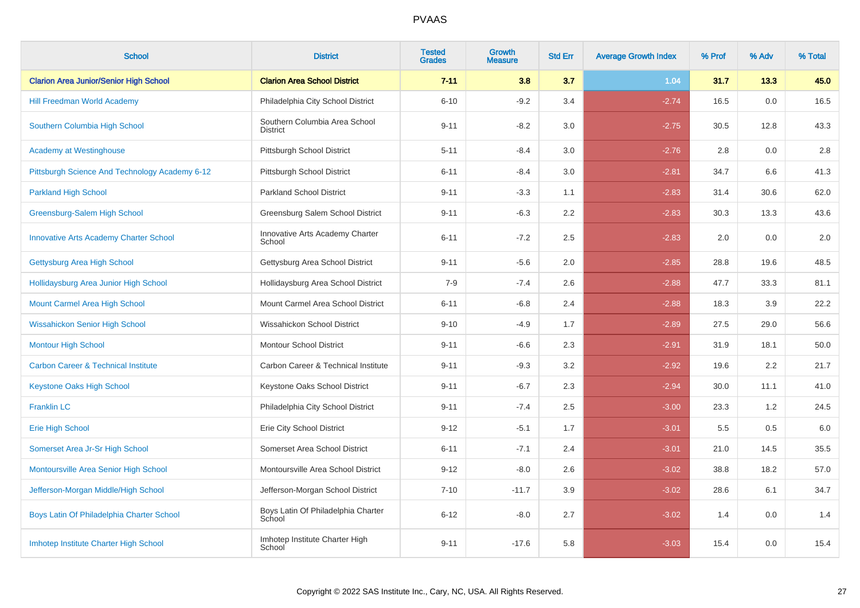| <b>School</b>                                  | <b>District</b>                                  | <b>Tested</b><br><b>Grades</b> | <b>Growth</b><br><b>Measure</b> | <b>Std Err</b> | <b>Average Growth Index</b> | % Prof | % Adv | % Total |
|------------------------------------------------|--------------------------------------------------|--------------------------------|---------------------------------|----------------|-----------------------------|--------|-------|---------|
| <b>Clarion Area Junior/Senior High School</b>  | <b>Clarion Area School District</b>              | $7 - 11$                       | 3.8                             | 3.7            | 1.04                        | 31.7   | 13.3  | 45.0    |
| <b>Hill Freedman World Academy</b>             | Philadelphia City School District                | $6 - 10$                       | $-9.2$                          | 3.4            | $-2.74$                     | 16.5   | 0.0   | 16.5    |
| Southern Columbia High School                  | Southern Columbia Area School<br><b>District</b> | $9 - 11$                       | $-8.2$                          | 3.0            | $-2.75$                     | 30.5   | 12.8  | 43.3    |
| <b>Academy at Westinghouse</b>                 | Pittsburgh School District                       | $5 - 11$                       | $-8.4$                          | 3.0            | $-2.76$                     | 2.8    | 0.0   | 2.8     |
| Pittsburgh Science And Technology Academy 6-12 | Pittsburgh School District                       | $6 - 11$                       | $-8.4$                          | 3.0            | $-2.81$                     | 34.7   | 6.6   | 41.3    |
| <b>Parkland High School</b>                    | Parkland School District                         | $9 - 11$                       | $-3.3$                          | 1.1            | $-2.83$                     | 31.4   | 30.6  | 62.0    |
| Greensburg-Salem High School                   | Greensburg Salem School District                 | $9 - 11$                       | $-6.3$                          | 2.2            | $-2.83$                     | 30.3   | 13.3  | 43.6    |
| <b>Innovative Arts Academy Charter School</b>  | Innovative Arts Academy Charter<br>School        | $6 - 11$                       | $-7.2$                          | 2.5            | $-2.83$                     | 2.0    | 0.0   | 2.0     |
| Gettysburg Area High School                    | Gettysburg Area School District                  | $9 - 11$                       | $-5.6$                          | 2.0            | $-2.85$                     | 28.8   | 19.6  | 48.5    |
| Hollidaysburg Area Junior High School          | Hollidaysburg Area School District               | $7 - 9$                        | $-7.4$                          | 2.6            | $-2.88$                     | 47.7   | 33.3  | 81.1    |
| <b>Mount Carmel Area High School</b>           | Mount Carmel Area School District                | $6 - 11$                       | $-6.8$                          | 2.4            | $-2.88$                     | 18.3   | 3.9   | 22.2    |
| <b>Wissahickon Senior High School</b>          | Wissahickon School District                      | $9 - 10$                       | $-4.9$                          | 1.7            | $-2.89$                     | 27.5   | 29.0  | 56.6    |
| <b>Montour High School</b>                     | <b>Montour School District</b>                   | $9 - 11$                       | $-6.6$                          | 2.3            | $-2.91$                     | 31.9   | 18.1  | 50.0    |
| <b>Carbon Career &amp; Technical Institute</b> | Carbon Career & Technical Institute              | $9 - 11$                       | $-9.3$                          | 3.2            | $-2.92$                     | 19.6   | 2.2   | 21.7    |
| <b>Keystone Oaks High School</b>               | Keystone Oaks School District                    | $9 - 11$                       | $-6.7$                          | 2.3            | $-2.94$                     | 30.0   | 11.1  | 41.0    |
| <b>Franklin LC</b>                             | Philadelphia City School District                | $9 - 11$                       | $-7.4$                          | 2.5            | $-3.00$                     | 23.3   | 1.2   | 24.5    |
| <b>Erie High School</b>                        | Erie City School District                        | $9 - 12$                       | $-5.1$                          | 1.7            | $-3.01$                     | 5.5    | 0.5   | 6.0     |
| Somerset Area Jr-Sr High School                | Somerset Area School District                    | $6 - 11$                       | $-7.1$                          | 2.4            | $-3.01$                     | 21.0   | 14.5  | 35.5    |
| Montoursville Area Senior High School          | Montoursville Area School District               | $9 - 12$                       | $-8.0$                          | 2.6            | $-3.02$                     | 38.8   | 18.2  | 57.0    |
| Jefferson-Morgan Middle/High School            | Jefferson-Morgan School District                 | $7 - 10$                       | $-11.7$                         | 3.9            | $-3.02$                     | 28.6   | 6.1   | 34.7    |
| Boys Latin Of Philadelphia Charter School      | Boys Latin Of Philadelphia Charter<br>School     | $6 - 12$                       | $-8.0$                          | 2.7            | $-3.02$                     | 1.4    | 0.0   | 1.4     |
| Imhotep Institute Charter High School          | Imhotep Institute Charter High<br>School         | $9 - 11$                       | $-17.6$                         | 5.8            | $-3.03$                     | 15.4   | 0.0   | 15.4    |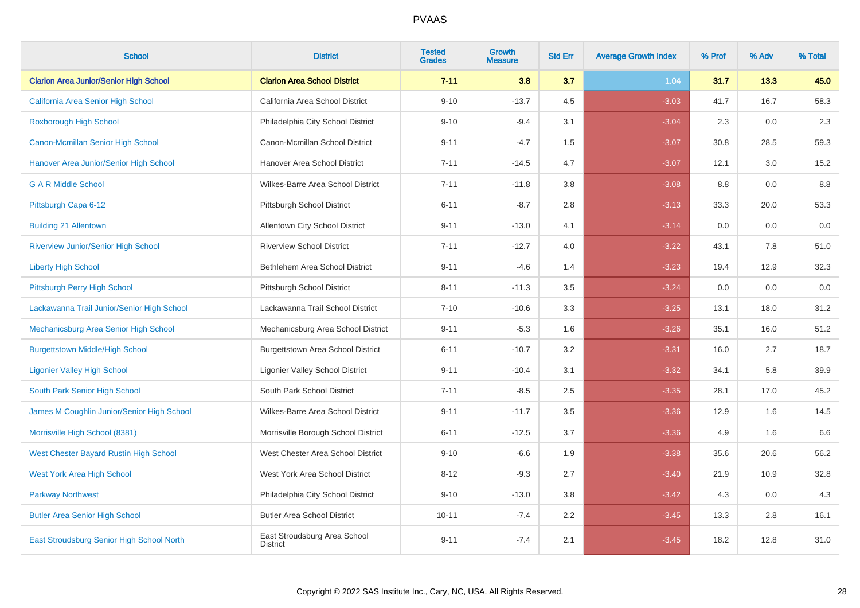| <b>School</b>                                 | <b>District</b>                                 | <b>Tested</b><br><b>Grades</b> | <b>Growth</b><br><b>Measure</b> | <b>Std Err</b> | <b>Average Growth Index</b> | % Prof | % Adv | % Total |
|-----------------------------------------------|-------------------------------------------------|--------------------------------|---------------------------------|----------------|-----------------------------|--------|-------|---------|
| <b>Clarion Area Junior/Senior High School</b> | <b>Clarion Area School District</b>             | $7 - 11$                       | 3.8                             | 3.7            | 1.04                        | 31.7   | 13.3  | 45.0    |
| California Area Senior High School            | California Area School District                 | $9 - 10$                       | $-13.7$                         | 4.5            | $-3.03$                     | 41.7   | 16.7  | 58.3    |
| <b>Roxborough High School</b>                 | Philadelphia City School District               | $9 - 10$                       | $-9.4$                          | 3.1            | $-3.04$                     | 2.3    | 0.0   | 2.3     |
| <b>Canon-Mcmillan Senior High School</b>      | Canon-Mcmillan School District                  | $9 - 11$                       | $-4.7$                          | 1.5            | $-3.07$                     | 30.8   | 28.5  | 59.3    |
| Hanover Area Junior/Senior High School        | Hanover Area School District                    | $7 - 11$                       | $-14.5$                         | 4.7            | $-3.07$                     | 12.1   | 3.0   | 15.2    |
| <b>G A R Middle School</b>                    | Wilkes-Barre Area School District               | $7 - 11$                       | $-11.8$                         | 3.8            | $-3.08$                     | 8.8    | 0.0   | 8.8     |
| Pittsburgh Capa 6-12                          | Pittsburgh School District                      | $6 - 11$                       | $-8.7$                          | 2.8            | $-3.13$                     | 33.3   | 20.0  | 53.3    |
| <b>Building 21 Allentown</b>                  | Allentown City School District                  | $9 - 11$                       | $-13.0$                         | 4.1            | $-3.14$                     | 0.0    | 0.0   | 0.0     |
| <b>Riverview Junior/Senior High School</b>    | <b>Riverview School District</b>                | $7 - 11$                       | $-12.7$                         | 4.0            | $-3.22$                     | 43.1   | 7.8   | 51.0    |
| <b>Liberty High School</b>                    | Bethlehem Area School District                  | $9 - 11$                       | $-4.6$                          | 1.4            | $-3.23$                     | 19.4   | 12.9  | 32.3    |
| Pittsburgh Perry High School                  | Pittsburgh School District                      | $8 - 11$                       | $-11.3$                         | 3.5            | $-3.24$                     | 0.0    | 0.0   | 0.0     |
| Lackawanna Trail Junior/Senior High School    | Lackawanna Trail School District                | $7 - 10$                       | $-10.6$                         | 3.3            | $-3.25$                     | 13.1   | 18.0  | 31.2    |
| Mechanicsburg Area Senior High School         | Mechanicsburg Area School District              | $9 - 11$                       | $-5.3$                          | 1.6            | $-3.26$                     | 35.1   | 16.0  | 51.2    |
| <b>Burgettstown Middle/High School</b>        | <b>Burgettstown Area School District</b>        | $6 - 11$                       | $-10.7$                         | 3.2            | $-3.31$                     | 16.0   | 2.7   | 18.7    |
| <b>Ligonier Valley High School</b>            | <b>Ligonier Valley School District</b>          | $9 - 11$                       | $-10.4$                         | 3.1            | $-3.32$                     | 34.1   | 5.8   | 39.9    |
| South Park Senior High School                 | South Park School District                      | $7 - 11$                       | $-8.5$                          | $2.5\,$        | $-3.35$                     | 28.1   | 17.0  | 45.2    |
| James M Coughlin Junior/Senior High School    | Wilkes-Barre Area School District               | $9 - 11$                       | $-11.7$                         | 3.5            | $-3.36$                     | 12.9   | 1.6   | 14.5    |
| Morrisville High School (8381)                | Morrisville Borough School District             | $6 - 11$                       | $-12.5$                         | 3.7            | $-3.36$                     | 4.9    | 1.6   | 6.6     |
| West Chester Bayard Rustin High School        | West Chester Area School District               | $9 - 10$                       | $-6.6$                          | 1.9            | $-3.38$                     | 35.6   | 20.6  | 56.2    |
| <b>West York Area High School</b>             | West York Area School District                  | $8 - 12$                       | $-9.3$                          | 2.7            | $-3.40$                     | 21.9   | 10.9  | 32.8    |
| <b>Parkway Northwest</b>                      | Philadelphia City School District               | $9 - 10$                       | $-13.0$                         | 3.8            | $-3.42$                     | 4.3    | 0.0   | 4.3     |
| <b>Butler Area Senior High School</b>         | <b>Butler Area School District</b>              | $10 - 11$                      | $-7.4$                          | $2.2\,$        | $-3.45$                     | 13.3   | 2.8   | 16.1    |
| East Stroudsburg Senior High School North     | East Stroudsburg Area School<br><b>District</b> | $9 - 11$                       | $-7.4$                          | 2.1            | $-3.45$                     | 18.2   | 12.8  | 31.0    |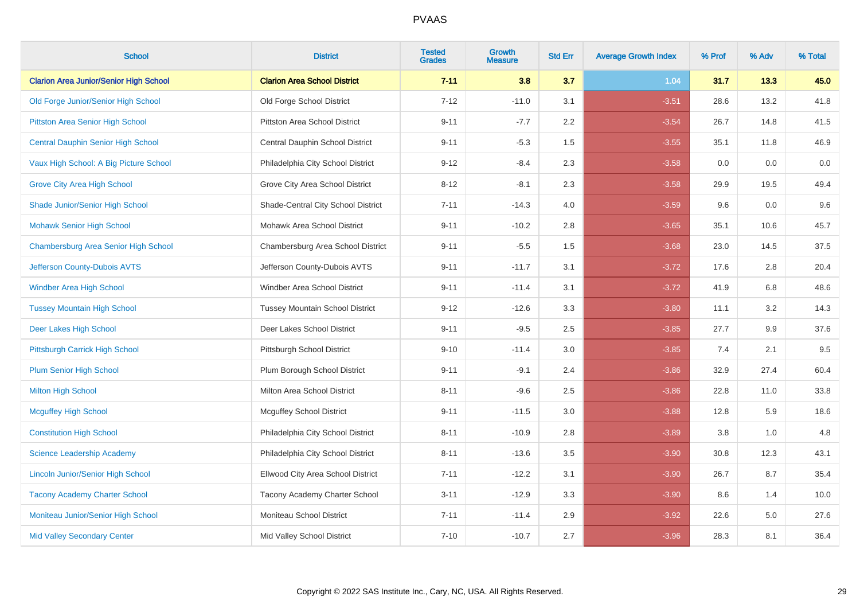| <b>School</b>                                 | <b>District</b>                        | <b>Tested</b><br><b>Grades</b> | <b>Growth</b><br><b>Measure</b> | <b>Std Err</b> | <b>Average Growth Index</b> | % Prof | % Adv | % Total |
|-----------------------------------------------|----------------------------------------|--------------------------------|---------------------------------|----------------|-----------------------------|--------|-------|---------|
| <b>Clarion Area Junior/Senior High School</b> | <b>Clarion Area School District</b>    | $7 - 11$                       | 3.8                             | 3.7            | 1.04                        | 31.7   | 13.3  | 45.0    |
| Old Forge Junior/Senior High School           | Old Forge School District              | $7 - 12$                       | $-11.0$                         | 3.1            | $-3.51$                     | 28.6   | 13.2  | 41.8    |
| Pittston Area Senior High School              | Pittston Area School District          | $9 - 11$                       | $-7.7$                          | 2.2            | $-3.54$                     | 26.7   | 14.8  | 41.5    |
| <b>Central Dauphin Senior High School</b>     | Central Dauphin School District        | $9 - 11$                       | $-5.3$                          | 1.5            | $-3.55$                     | 35.1   | 11.8  | 46.9    |
| Vaux High School: A Big Picture School        | Philadelphia City School District      | $9 - 12$                       | $-8.4$                          | 2.3            | $-3.58$                     | 0.0    | 0.0   | 0.0     |
| <b>Grove City Area High School</b>            | Grove City Area School District        | $8 - 12$                       | $-8.1$                          | 2.3            | $-3.58$                     | 29.9   | 19.5  | 49.4    |
| Shade Junior/Senior High School               | Shade-Central City School District     | $7 - 11$                       | $-14.3$                         | 4.0            | $-3.59$                     | 9.6    | 0.0   | 9.6     |
| <b>Mohawk Senior High School</b>              | Mohawk Area School District            | $9 - 11$                       | $-10.2$                         | 2.8            | $-3.65$                     | 35.1   | 10.6  | 45.7    |
| Chambersburg Area Senior High School          | Chambersburg Area School District      | $9 - 11$                       | $-5.5$                          | 1.5            | $-3.68$                     | 23.0   | 14.5  | 37.5    |
| Jefferson County-Dubois AVTS                  | Jefferson County-Dubois AVTS           | $9 - 11$                       | $-11.7$                         | 3.1            | $-3.72$                     | 17.6   | 2.8   | 20.4    |
| <b>Windber Area High School</b>               | Windber Area School District           | $9 - 11$                       | $-11.4$                         | 3.1            | $-3.72$                     | 41.9   | 6.8   | 48.6    |
| <b>Tussey Mountain High School</b>            | <b>Tussey Mountain School District</b> | $9 - 12$                       | $-12.6$                         | 3.3            | $-3.80$                     | 11.1   | 3.2   | 14.3    |
| Deer Lakes High School                        | Deer Lakes School District             | $9 - 11$                       | $-9.5$                          | 2.5            | $-3.85$                     | 27.7   | 9.9   | 37.6    |
| Pittsburgh Carrick High School                | Pittsburgh School District             | $9 - 10$                       | $-11.4$                         | 3.0            | $-3.85$                     | 7.4    | 2.1   | 9.5     |
| Plum Senior High School                       | Plum Borough School District           | $9 - 11$                       | $-9.1$                          | 2.4            | $-3.86$                     | 32.9   | 27.4  | 60.4    |
| <b>Milton High School</b>                     | <b>Milton Area School District</b>     | $8 - 11$                       | $-9.6$                          | 2.5            | $-3.86$                     | 22.8   | 11.0  | 33.8    |
| <b>Mcguffey High School</b>                   | <b>Mcguffey School District</b>        | $9 - 11$                       | $-11.5$                         | 3.0            | $-3.88$                     | 12.8   | 5.9   | 18.6    |
| <b>Constitution High School</b>               | Philadelphia City School District      | $8 - 11$                       | $-10.9$                         | 2.8            | $-3.89$                     | 3.8    | 1.0   | 4.8     |
| Science Leadership Academy                    | Philadelphia City School District      | $8 - 11$                       | $-13.6$                         | 3.5            | $-3.90$                     | 30.8   | 12.3  | 43.1    |
| <b>Lincoln Junior/Senior High School</b>      | Ellwood City Area School District      | $7 - 11$                       | $-12.2$                         | 3.1            | $-3.90$                     | 26.7   | 8.7   | 35.4    |
| <b>Tacony Academy Charter School</b>          | Tacony Academy Charter School          | $3 - 11$                       | $-12.9$                         | 3.3            | $-3.90$                     | 8.6    | 1.4   | 10.0    |
| Moniteau Junior/Senior High School            | Moniteau School District               | $7 - 11$                       | $-11.4$                         | 2.9            | $-3.92$                     | 22.6   | 5.0   | 27.6    |
| <b>Mid Valley Secondary Center</b>            | Mid Valley School District             | $7 - 10$                       | $-10.7$                         | 2.7            | $-3.96$                     | 28.3   | 8.1   | 36.4    |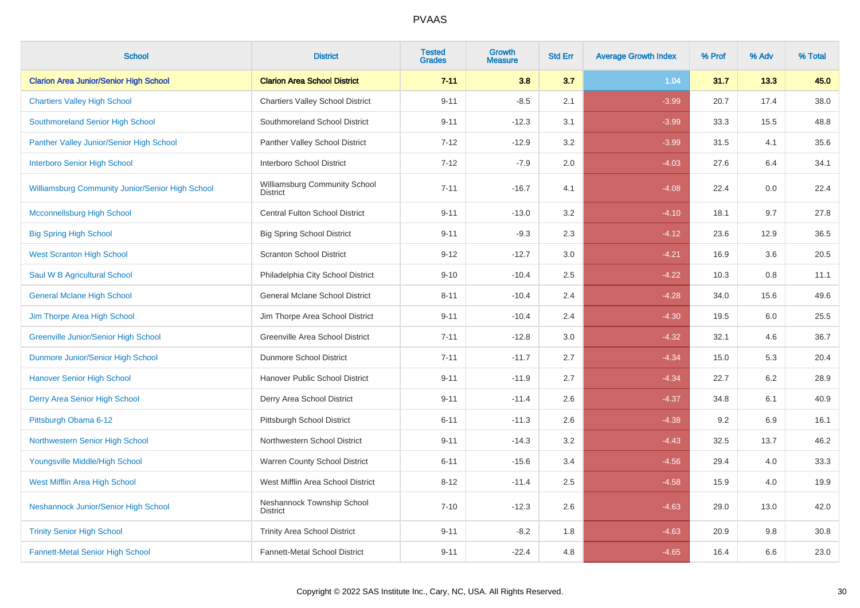| <b>School</b>                                    | <b>District</b>                                  | <b>Tested</b><br><b>Grades</b> | Growth<br><b>Measure</b> | <b>Std Err</b> | <b>Average Growth Index</b> | % Prof | % Adv | % Total |
|--------------------------------------------------|--------------------------------------------------|--------------------------------|--------------------------|----------------|-----------------------------|--------|-------|---------|
| <b>Clarion Area Junior/Senior High School</b>    | <b>Clarion Area School District</b>              | $7 - 11$                       | 3.8                      | 3.7            | 1.04                        | 31.7   | 13.3  | 45.0    |
| <b>Chartiers Valley High School</b>              | <b>Chartiers Valley School District</b>          | $9 - 11$                       | $-8.5$                   | 2.1            | $-3.99$                     | 20.7   | 17.4  | 38.0    |
| Southmoreland Senior High School                 | Southmoreland School District                    | $9 - 11$                       | $-12.3$                  | 3.1            | $-3.99$                     | 33.3   | 15.5  | 48.8    |
| Panther Valley Junior/Senior High School         | Panther Valley School District                   | $7 - 12$                       | $-12.9$                  | 3.2            | $-3.99$                     | 31.5   | 4.1   | 35.6    |
| <b>Interboro Senior High School</b>              | Interboro School District                        | $7 - 12$                       | $-7.9$                   | 2.0            | $-4.03$                     | 27.6   | 6.4   | 34.1    |
| Williamsburg Community Junior/Senior High School | Williamsburg Community School<br><b>District</b> | $7 - 11$                       | $-16.7$                  | 4.1            | $-4.08$                     | 22.4   | 0.0   | 22.4    |
| <b>Mcconnellsburg High School</b>                | <b>Central Fulton School District</b>            | $9 - 11$                       | $-13.0$                  | 3.2            | $-4.10$                     | 18.1   | 9.7   | 27.8    |
| <b>Big Spring High School</b>                    | <b>Big Spring School District</b>                | $9 - 11$                       | $-9.3$                   | 2.3            | $-4.12$                     | 23.6   | 12.9  | 36.5    |
| <b>West Scranton High School</b>                 | <b>Scranton School District</b>                  | $9 - 12$                       | $-12.7$                  | 3.0            | $-4.21$                     | 16.9   | 3.6   | 20.5    |
| Saul W B Agricultural School                     | Philadelphia City School District                | $9 - 10$                       | $-10.4$                  | 2.5            | $-4.22$                     | 10.3   | 0.8   | 11.1    |
| <b>General Mclane High School</b>                | General Mclane School District                   | $8 - 11$                       | $-10.4$                  | 2.4            | $-4.28$                     | 34.0   | 15.6  | 49.6    |
| Jim Thorpe Area High School                      | Jim Thorpe Area School District                  | $9 - 11$                       | $-10.4$                  | 2.4            | $-4.30$                     | 19.5   | 6.0   | 25.5    |
| <b>Greenville Junior/Senior High School</b>      | Greenville Area School District                  | $7 - 11$                       | $-12.8$                  | 3.0            | $-4.32$                     | 32.1   | 4.6   | 36.7    |
| Dunmore Junior/Senior High School                | Dunmore School District                          | $7 - 11$                       | $-11.7$                  | 2.7            | $-4.34$                     | 15.0   | 5.3   | 20.4    |
| <b>Hanover Senior High School</b>                | Hanover Public School District                   | $9 - 11$                       | $-11.9$                  | 2.7            | $-4.34$                     | 22.7   | 6.2   | 28.9    |
| Derry Area Senior High School                    | Derry Area School District                       | $9 - 11$                       | $-11.4$                  | 2.6            | $-4.37$                     | 34.8   | 6.1   | 40.9    |
| Pittsburgh Obama 6-12                            | Pittsburgh School District                       | $6 - 11$                       | $-11.3$                  | 2.6            | $-4.38$                     | 9.2    | 6.9   | 16.1    |
| Northwestern Senior High School                  | Northwestern School District                     | $9 - 11$                       | $-14.3$                  | 3.2            | $-4.43$                     | 32.5   | 13.7  | 46.2    |
| Youngsville Middle/High School                   | Warren County School District                    | $6 - 11$                       | $-15.6$                  | 3.4            | $-4.56$                     | 29.4   | 4.0   | 33.3    |
| West Mifflin Area High School                    | West Mifflin Area School District                | $8 - 12$                       | $-11.4$                  | 2.5            | $-4.58$                     | 15.9   | 4.0   | 19.9    |
| Neshannock Junior/Senior High School             | Neshannock Township School<br><b>District</b>    | $7 - 10$                       | $-12.3$                  | 2.6            | $-4.63$                     | 29.0   | 13.0  | 42.0    |
| <b>Trinity Senior High School</b>                | <b>Trinity Area School District</b>              | $9 - 11$                       | $-8.2$                   | 1.8            | $-4.63$                     | 20.9   | 9.8   | 30.8    |
| <b>Fannett-Metal Senior High School</b>          | Fannett-Metal School District                    | $9 - 11$                       | $-22.4$                  | 4.8            | $-4.65$                     | 16.4   | 6.6   | 23.0    |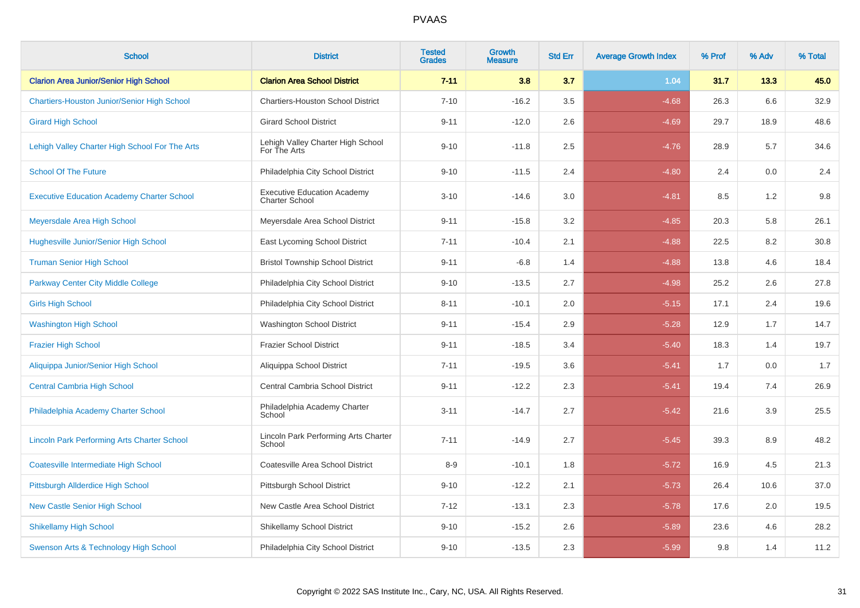| <b>School</b>                                      | <b>District</b>                                             | <b>Tested</b><br><b>Grades</b> | <b>Growth</b><br><b>Measure</b> | <b>Std Err</b> | <b>Average Growth Index</b> | % Prof | % Adv | % Total |
|----------------------------------------------------|-------------------------------------------------------------|--------------------------------|---------------------------------|----------------|-----------------------------|--------|-------|---------|
| <b>Clarion Area Junior/Senior High School</b>      | <b>Clarion Area School District</b>                         | $7 - 11$                       | 3.8                             | 3.7            | 1.04                        | 31.7   | 13.3  | 45.0    |
| <b>Chartiers-Houston Junior/Senior High School</b> | <b>Chartiers-Houston School District</b>                    | $7 - 10$                       | $-16.2$                         | 3.5            | $-4.68$                     | 26.3   | 6.6   | 32.9    |
| <b>Girard High School</b>                          | <b>Girard School District</b>                               | $9 - 11$                       | $-12.0$                         | 2.6            | $-4.69$                     | 29.7   | 18.9  | 48.6    |
| Lehigh Valley Charter High School For The Arts     | Lehigh Valley Charter High School<br>For The Arts           | $9 - 10$                       | $-11.8$                         | 2.5            | $-4.76$                     | 28.9   | 5.7   | 34.6    |
| <b>School Of The Future</b>                        | Philadelphia City School District                           | $9 - 10$                       | $-11.5$                         | 2.4            | $-4.80$                     | 2.4    | 0.0   | 2.4     |
| <b>Executive Education Academy Charter School</b>  | <b>Executive Education Academy</b><br><b>Charter School</b> | $3 - 10$                       | $-14.6$                         | $3.0\,$        | $-4.81$                     | 8.5    | 1.2   | $9.8\,$ |
| Meyersdale Area High School                        | Meyersdale Area School District                             | $9 - 11$                       | $-15.8$                         | 3.2            | $-4.85$                     | 20.3   | 5.8   | 26.1    |
| Hughesville Junior/Senior High School              | East Lycoming School District                               | $7 - 11$                       | $-10.4$                         | 2.1            | $-4.88$                     | 22.5   | 8.2   | 30.8    |
| <b>Truman Senior High School</b>                   | <b>Bristol Township School District</b>                     | $9 - 11$                       | $-6.8$                          | 1.4            | $-4.88$                     | 13.8   | 4.6   | 18.4    |
| <b>Parkway Center City Middle College</b>          | Philadelphia City School District                           | $9 - 10$                       | $-13.5$                         | 2.7            | $-4.98$                     | 25.2   | 2.6   | 27.8    |
| <b>Girls High School</b>                           | Philadelphia City School District                           | $8 - 11$                       | $-10.1$                         | 2.0            | $-5.15$                     | 17.1   | 2.4   | 19.6    |
| <b>Washington High School</b>                      | <b>Washington School District</b>                           | $9 - 11$                       | $-15.4$                         | 2.9            | $-5.28$                     | 12.9   | 1.7   | 14.7    |
| <b>Frazier High School</b>                         | <b>Frazier School District</b>                              | $9 - 11$                       | $-18.5$                         | 3.4            | $-5.40$                     | 18.3   | 1.4   | 19.7    |
| Aliquippa Junior/Senior High School                | Aliquippa School District                                   | $7 - 11$                       | $-19.5$                         | 3.6            | $-5.41$                     | 1.7    | 0.0   | 1.7     |
| <b>Central Cambria High School</b>                 | Central Cambria School District                             | $9 - 11$                       | $-12.2$                         | 2.3            | $-5.41$                     | 19.4   | 7.4   | 26.9    |
| Philadelphia Academy Charter School                | Philadelphia Academy Charter<br>School                      | $3 - 11$                       | $-14.7$                         | 2.7            | $-5.42$                     | 21.6   | 3.9   | 25.5    |
| <b>Lincoln Park Performing Arts Charter School</b> | Lincoln Park Performing Arts Charter<br>School              | $7 - 11$                       | $-14.9$                         | 2.7            | $-5.45$                     | 39.3   | 8.9   | 48.2    |
| <b>Coatesville Intermediate High School</b>        | Coatesville Area School District                            | $8-9$                          | $-10.1$                         | 1.8            | $-5.72$                     | 16.9   | 4.5   | 21.3    |
| Pittsburgh Allderdice High School                  | Pittsburgh School District                                  | $9 - 10$                       | $-12.2$                         | 2.1            | $-5.73$                     | 26.4   | 10.6  | 37.0    |
| <b>New Castle Senior High School</b>               | New Castle Area School District                             | $7 - 12$                       | $-13.1$                         | 2.3            | $-5.78$                     | 17.6   | 2.0   | 19.5    |
| <b>Shikellamy High School</b>                      | <b>Shikellamy School District</b>                           | $9 - 10$                       | $-15.2$                         | 2.6            | $-5.89$                     | 23.6   | 4.6   | 28.2    |
| Swenson Arts & Technology High School              | Philadelphia City School District                           | $9 - 10$                       | $-13.5$                         | 2.3            | $-5.99$                     | 9.8    | 1.4   | 11.2    |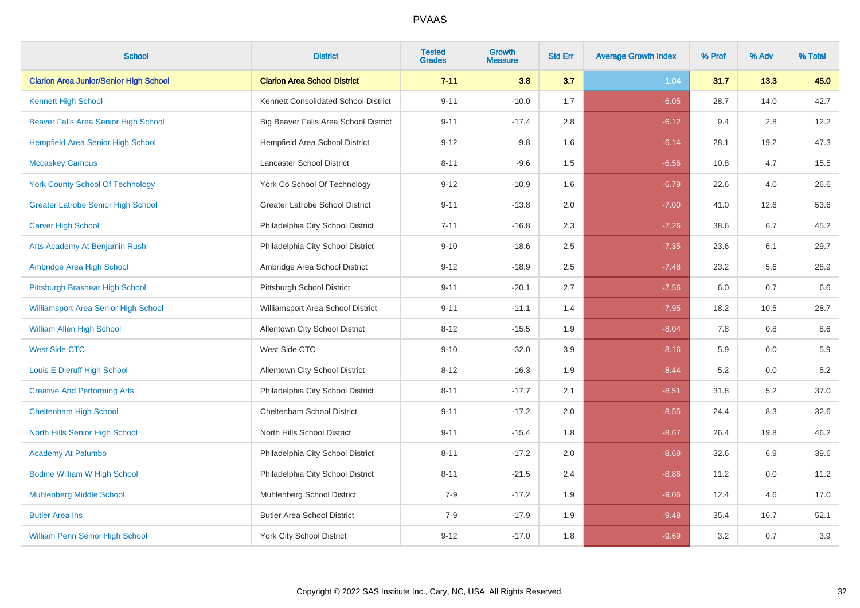| <b>School</b>                                 | <b>District</b>                        | <b>Tested</b><br><b>Grades</b> | <b>Growth</b><br><b>Measure</b> | <b>Std Err</b> | <b>Average Growth Index</b> | % Prof | % Adv | % Total |
|-----------------------------------------------|----------------------------------------|--------------------------------|---------------------------------|----------------|-----------------------------|--------|-------|---------|
| <b>Clarion Area Junior/Senior High School</b> | <b>Clarion Area School District</b>    | $7 - 11$                       | 3.8                             | 3.7            | 1.04                        | 31.7   | 13.3  | 45.0    |
| <b>Kennett High School</b>                    | Kennett Consolidated School District   | $9 - 11$                       | $-10.0$                         | 1.7            | $-6.05$                     | 28.7   | 14.0  | 42.7    |
| Beaver Falls Area Senior High School          | Big Beaver Falls Area School District  | $9 - 11$                       | $-17.4$                         | 2.8            | $-6.12$                     | 9.4    | 2.8   | 12.2    |
| Hempfield Area Senior High School             | Hempfield Area School District         | $9 - 12$                       | $-9.8$                          | 1.6            | $-6.14$                     | 28.1   | 19.2  | 47.3    |
| <b>Mccaskey Campus</b>                        | Lancaster School District              | $8 - 11$                       | $-9.6$                          | 1.5            | $-6.56$                     | 10.8   | 4.7   | 15.5    |
| <b>York County School Of Technology</b>       | York Co School Of Technology           | $9 - 12$                       | $-10.9$                         | 1.6            | $-6.79$                     | 22.6   | 4.0   | 26.6    |
| <b>Greater Latrobe Senior High School</b>     | <b>Greater Latrobe School District</b> | $9 - 11$                       | $-13.8$                         | $2.0\,$        | $-7.00$                     | 41.0   | 12.6  | 53.6    |
| <b>Carver High School</b>                     | Philadelphia City School District      | $7 - 11$                       | $-16.8$                         | 2.3            | $-7.26$                     | 38.6   | 6.7   | 45.2    |
| Arts Academy At Benjamin Rush                 | Philadelphia City School District      | $9 - 10$                       | $-18.6$                         | 2.5            | $-7.35$                     | 23.6   | 6.1   | 29.7    |
| Ambridge Area High School                     | Ambridge Area School District          | $9 - 12$                       | $-18.9$                         | $2.5\,$        | $-7.48$                     | 23.2   | 5.6   | 28.9    |
| Pittsburgh Brashear High School               | Pittsburgh School District             | $9 - 11$                       | $-20.1$                         | 2.7            | $-7.56$                     | 6.0    | 0.7   | 6.6     |
| Williamsport Area Senior High School          | Williamsport Area School District      | $9 - 11$                       | $-11.1$                         | 1.4            | $-7.95$                     | 18.2   | 10.5  | 28.7    |
| <b>William Allen High School</b>              | Allentown City School District         | $8 - 12$                       | $-15.5$                         | 1.9            | $-8.04$                     | 7.8    | 0.8   | 8.6     |
| <b>West Side CTC</b>                          | West Side CTC                          | $9 - 10$                       | $-32.0$                         | 3.9            | $-8.16$                     | 5.9    | 0.0   | 5.9     |
| Louis E Dieruff High School                   | Allentown City School District         | $8 - 12$                       | $-16.3$                         | 1.9            | $-8.44$                     | 5.2    | 0.0   | $5.2\,$ |
| <b>Creative And Performing Arts</b>           | Philadelphia City School District      | $8 - 11$                       | $-17.7$                         | 2.1            | $-8.51$                     | 31.8   | 5.2   | 37.0    |
| <b>Cheltenham High School</b>                 | Cheltenham School District             | $9 - 11$                       | $-17.2$                         | 2.0            | $-8.55$                     | 24.4   | 8.3   | 32.6    |
| North Hills Senior High School                | North Hills School District            | $9 - 11$                       | $-15.4$                         | 1.8            | $-8.67$                     | 26.4   | 19.8  | 46.2    |
| <b>Academy At Palumbo</b>                     | Philadelphia City School District      | $8 - 11$                       | $-17.2$                         | 2.0            | $-8.69$                     | 32.6   | 6.9   | 39.6    |
| <b>Bodine William W High School</b>           | Philadelphia City School District      | $8 - 11$                       | $-21.5$                         | 2.4            | $-8.86$                     | 11.2   | 0.0   | 11.2    |
| <b>Muhlenberg Middle School</b>               | <b>Muhlenberg School District</b>      | $7-9$                          | $-17.2$                         | 1.9            | $-9.06$                     | 12.4   | 4.6   | 17.0    |
| <b>Butler Area lhs</b>                        | <b>Butler Area School District</b>     | $7 - 9$                        | $-17.9$                         | 1.9            | $-9.48$                     | 35.4   | 16.7  | 52.1    |
| <b>William Penn Senior High School</b>        | <b>York City School District</b>       | $9 - 12$                       | $-17.0$                         | 1.8            | $-9.69$                     | 3.2    | 0.7   | 3.9     |